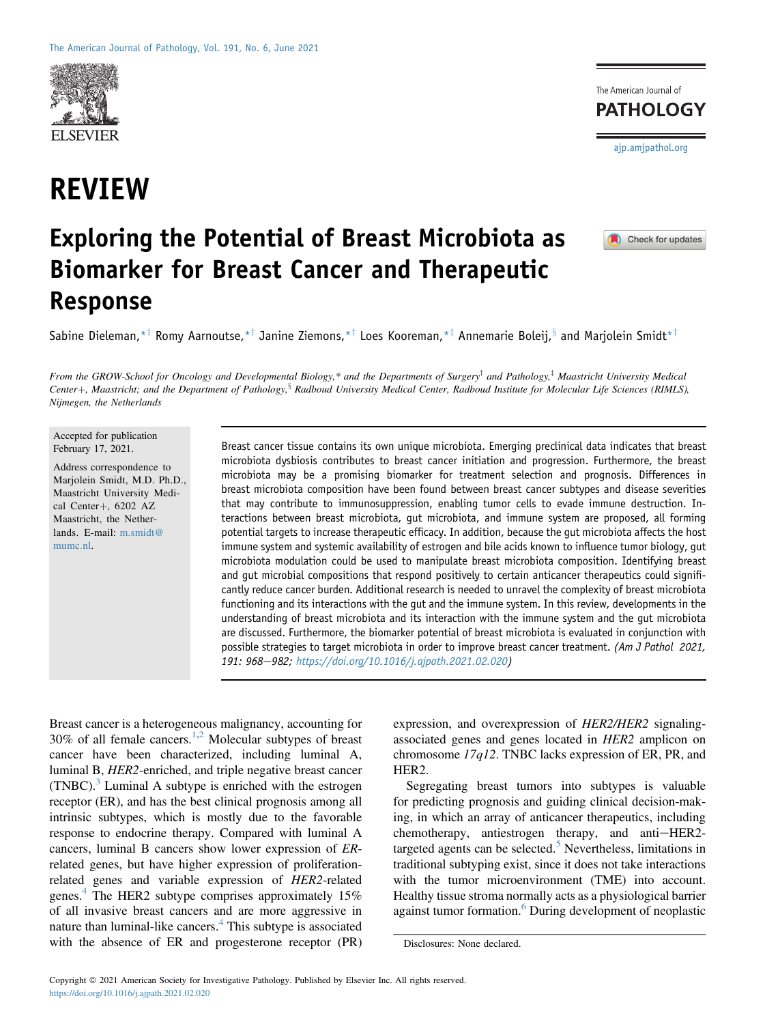

# REVIEW



 $\blacksquare$  Check for updates

## Exploring the Potential of Breast Microbiota as Biomarker for Breast Cancer and Therapeutic Response

Sabine Dieleman,\*<sup>†</sup> Romy Aarnoutse,\*<sup>†</sup> Janine Ziemons,\*<sup>†</sup> Loes Kooreman,\*<sup>‡</sup> Annemarie Boleij,<sup>§</sup> and Marjolein Smidt\*<sup>†</sup>

From the GROW-School for Oncology and Developmental Biology,\* and the Departments of Surgery<sup>†</sup> and Pathology,<sup>‡</sup> Maastricht University Medical Center+, Maastricht; and the Department of Pathology, Radboud University Medical Center, Radboud Institute for Molecular Life Sciences (RIMLS), Nijmegen, the Netherlands

Accepted for publication February 17, 2021.

Address correspondence to Marjolein Smidt, M.D. Ph.D., Maastricht University Medical Center+, 6202 AZ Maastricht, the Netherlands. E-mail: [m.smidt@](mailto:m.smidt@mumc.nl) [mumc.nl.](mailto:m.smidt@mumc.nl)

Breast cancer tissue contains its own unique microbiota. Emerging preclinical data indicates that breast microbiota dysbiosis contributes to breast cancer initiation and progression. Furthermore, the breast microbiota may be a promising biomarker for treatment selection and prognosis. Differences in breast microbiota composition have been found between breast cancer subtypes and disease severities that may contribute to immunosuppression, enabling tumor cells to evade immune destruction. Interactions between breast microbiota, gut microbiota, and immune system are proposed, all forming potential targets to increase therapeutic efficacy. In addition, because the gut microbiota affects the host immune system and systemic availability of estrogen and bile acids known to influence tumor biology, gut microbiota modulation could be used to manipulate breast microbiota composition. Identifying breast and gut microbial compositions that respond positively to certain anticancer therapeutics could significantly reduce cancer burden. Additional research is needed to unravel the complexity of breast microbiota functioning and its interactions with the gut and the immune system. In this review, developments in the understanding of breast microbiota and its interaction with the immune system and the gut microbiota are discussed. Furthermore, the biomarker potential of breast microbiota is evaluated in conjunction with possible strategies to target microbiota in order to improve breast cancer treatment. (Am J Pathol 2021, 191: 968-982; <https://doi.org/10.1016/j.ajpath.2021.02.020>)

Breast cancer is a heterogeneous malignancy, accounting for  $30\%$  of all female cancers.<sup>[1](#page-12-0)[,2](#page-12-1)</sup> Molecular subtypes of breast cancer have been characterized, including luminal A, luminal B, HER2-enriched, and triple negative breast cancer  $(TNEC)<sup>3</sup>$  $(TNEC)<sup>3</sup>$  $(TNEC)<sup>3</sup>$  Luminal A subtype is enriched with the estrogen receptor (ER), and has the best clinical prognosis among all intrinsic subtypes, which is mostly due to the favorable response to endocrine therapy. Compared with luminal A cancers, luminal B cancers show lower expression of ERrelated genes, but have higher expression of proliferationrelated genes and variable expression of HER2-related genes.<sup>[4](#page-12-3)</sup> The HER2 subtype comprises approximately  $15\%$ of all invasive breast cancers and are more aggressive in nature than luminal-like cancers.<sup>[4](#page-12-3)</sup> This subtype is associated with the absence of ER and progesterone receptor (PR)

expression, and overexpression of HER2/HER2 signalingassociated genes and genes located in HER2 amplicon on chromosome 17q12. TNBC lacks expression of ER, PR, and HER2.

Segregating breast tumors into subtypes is valuable for predicting prognosis and guiding clinical decision-making, in which an array of anticancer therapeutics, including chemotherapy, antiestrogen therapy, and anti-HER2targeted agents can be selected. $\overline{5}$  $\overline{5}$  $\overline{5}$  Nevertheless, limitations in traditional subtyping exist, since it does not take interactions with the tumor microenvironment (TME) into account. Healthy tissue stroma normally acts as a physiological barrier against tumor formation.<sup>[6](#page-12-5)</sup> During development of neoplastic

Disclosures: None declared.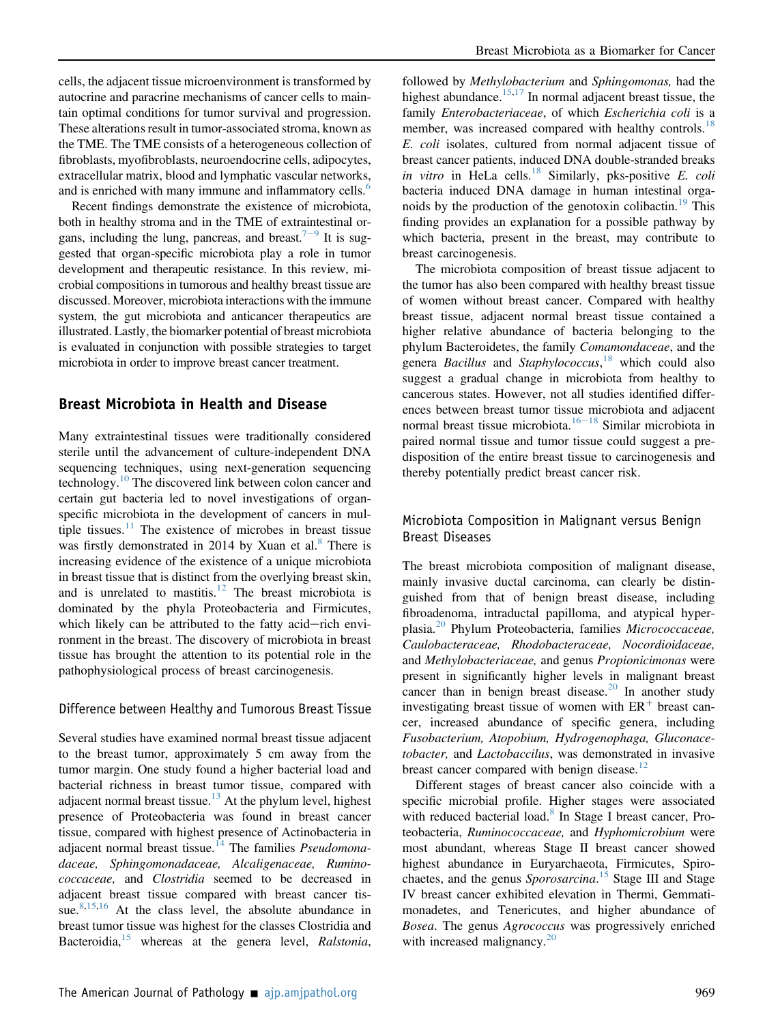cells, the adjacent tissue microenvironment is transformed by autocrine and paracrine mechanisms of cancer cells to maintain optimal conditions for tumor survival and progression. These alterations result in tumor-associated stroma, known as the TME. The TME consists of a heterogeneous collection of fibroblasts, myofibroblasts, neuroendocrine cells, adipocytes, extracellular matrix, blood and lymphatic vascular networks, and is enriched with many immune and inflammatory cells.<sup>[6](#page-12-5)</sup>

Recent findings demonstrate the existence of microbiota, both in healthy stroma and in the TME of extraintestinal or-gans, including the lung, pancreas, and breast.<sup>7-[9](#page-12-6)</sup> It is suggested that organ-specific microbiota play a role in tumor development and therapeutic resistance. In this review, microbial compositions in tumorous and healthy breast tissue are discussed. Moreover, microbiota interactions with the immune system, the gut microbiota and anticancer therapeutics are illustrated. Lastly, the biomarker potential of breast microbiota is evaluated in conjunction with possible strategies to target microbiota in order to improve breast cancer treatment.

## Breast Microbiota in Health and Disease

Many extraintestinal tissues were traditionally considered sterile until the advancement of culture-independent DNA sequencing techniques, using next-generation sequencing technology.<sup>[10](#page-12-7)</sup> The discovered link between colon cancer and certain gut bacteria led to novel investigations of organspecific microbiota in the development of cancers in multiple tissues. $11$  The existence of microbes in breast tissue was firstly demonstrated in 2014 by Xuan et al. $8$  There is increasing evidence of the existence of a unique microbiota in breast tissue that is distinct from the overlying breast skin, and is unrelated to mastitis.<sup>[12](#page-12-10)</sup> The breast microbiota is dominated by the phyla Proteobacteria and Firmicutes, which likely can be attributed to the fatty acid-rich environment in the breast. The discovery of microbiota in breast tissue has brought the attention to its potential role in the pathophysiological process of breast carcinogenesis.

#### Difference between Healthy and Tumorous Breast Tissue

Several studies have examined normal breast tissue adjacent to the breast tumor, approximately 5 cm away from the tumor margin. One study found a higher bacterial load and bacterial richness in breast tumor tissue, compared with adjacent normal breast tissue. $13$  At the phylum level, highest presence of Proteobacteria was found in breast cancer tissue, compared with highest presence of Actinobacteria in adjacent normal breast tissue.<sup>[14](#page-12-12)</sup> The families *Pseudomona*daceae, Sphingomonadaceae, Alcaligenaceae, Ruminococcaceae, and Clostridia seemed to be decreased in adjacent breast tissue compared with breast cancer tis-sue.<sup>[8](#page-12-9)[,15,](#page-12-13)[16](#page-12-14)</sup> At the class level, the absolute abundance in breast tumor tissue was highest for the classes Clostridia and Bacteroidia, $15$  whereas at the genera level, Ralstonia,

followed by *Methylobacterium* and *Sphingomonas*, had the highest abundance.<sup>[15](#page-12-13)[,17](#page-12-15)</sup> In normal adjacent breast tissue, the family *Enterobacteriaceae*, of which *Escherichia coli* is a member, was increased compared with healthy controls.<sup>[18](#page-12-16)</sup> E. coli isolates, cultured from normal adjacent tissue of breast cancer patients, induced DNA double-stranded breaks in vitro in HeLa cells.<sup>[18](#page-12-16)</sup> Similarly, pks-positive E. coli bacteria induced DNA damage in human intestinal orga-noids by the production of the genotoxin colibactin.<sup>[19](#page-12-17)</sup> This finding provides an explanation for a possible pathway by which bacteria, present in the breast, may contribute to breast carcinogenesis.

The microbiota composition of breast tissue adjacent to the tumor has also been compared with healthy breast tissue of women without breast cancer. Compared with healthy breast tissue, adjacent normal breast tissue contained a higher relative abundance of bacteria belonging to the phylum Bacteroidetes, the family Comamondaceae, and the genera *Bacillus* and *Staphylococcus*,<sup>[18](#page-12-16)</sup> which could also suggest a gradual change in microbiota from healthy to cancerous states. However, not all studies identified differences between breast tumor tissue microbiota and adjacent normal breast tissue microbiota.<sup>[16](#page-12-14)–[18](#page-12-14)</sup> Similar microbiota in paired normal tissue and tumor tissue could suggest a predisposition of the entire breast tissue to carcinogenesis and thereby potentially predict breast cancer risk.

## Microbiota Composition in Malignant versus Benign Breast Diseases

The breast microbiota composition of malignant disease, mainly invasive ductal carcinoma, can clearly be distinguished from that of benign breast disease, including fibroadenoma, intraductal papilloma, and atypical hyper-plasia.<sup>[20](#page-12-18)</sup> Phylum Proteobacteria, families *Micrococcaceae*, Caulobacteraceae, Rhodobacteraceae, Nocordioidaceae, and Methylobacteriaceae, and genus Propionicimonas were present in significantly higher levels in malignant breast cancer than in benign breast disease.<sup>[20](#page-12-18)</sup> In another study investigating breast tissue of women with  $ER<sup>+</sup>$  breast cancer, increased abundance of specific genera, including Fusobacterium, Atopobium, Hydrogenophaga, Gluconacetobacter, and Lactobaccilus, was demonstrated in invasive breast cancer compared with benign disease.<sup>[12](#page-12-10)</sup>

Different stages of breast cancer also coincide with a specific microbial profile. Higher stages were associated with reduced bacterial load.<sup>[8](#page-12-9)</sup> In Stage I breast cancer, Proteobacteria, Ruminococcaceae, and Hyphomicrobium were most abundant, whereas Stage II breast cancer showed highest abundance in Euryarchaeota, Firmicutes, Spiro-chaetes, and the genus Sporosarcina.<sup>[15](#page-12-13)</sup> Stage III and Stage IV breast cancer exhibited elevation in Thermi, Gemmatimonadetes, and Tenericutes, and higher abundance of Bosea. The genus Agrococcus was progressively enriched with increased malignancy.<sup>[20](#page-12-18)</sup>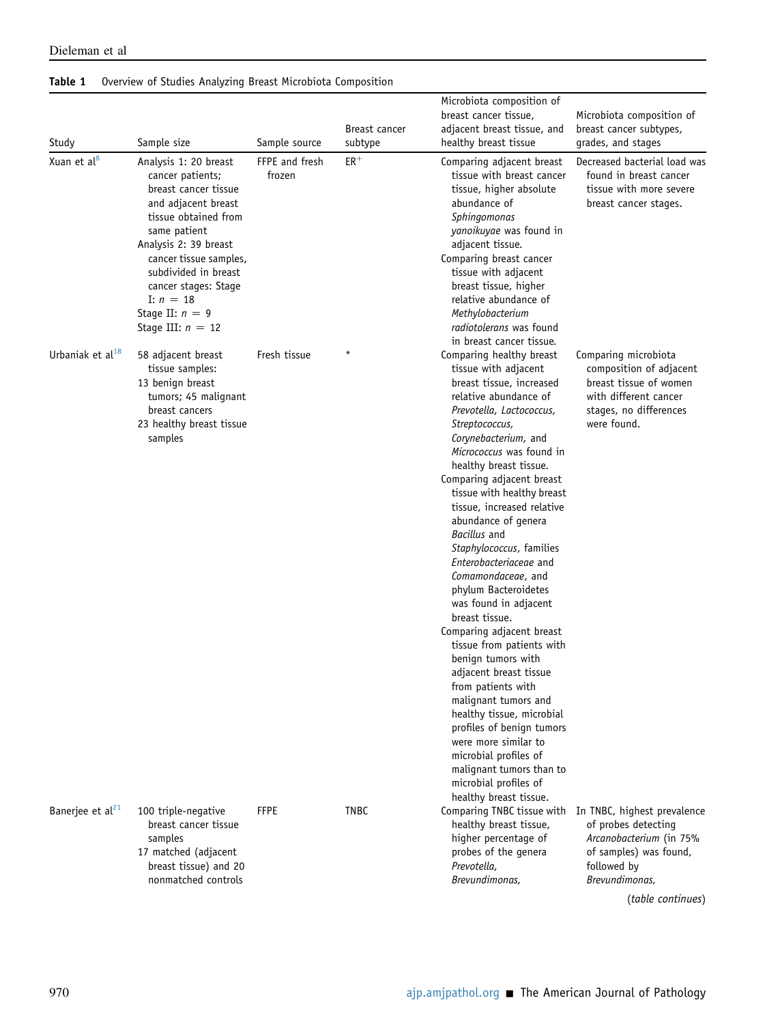| Study                        | Sample size                                                                                                                                                                                                                                                                                    | Sample source            | Breast cancer<br>subtype | Microbiota composition of<br>breast cancer tissue,<br>adjacent breast tissue, and<br>healthy breast tissue                                                                                                                                                                                                                                                                                                                                                                                                                                                                                                                                                                                                                                                                                                                                                                | Microbiota composition of<br>breast cancer subtypes,<br>grades, and stages                                                                                    |
|------------------------------|------------------------------------------------------------------------------------------------------------------------------------------------------------------------------------------------------------------------------------------------------------------------------------------------|--------------------------|--------------------------|---------------------------------------------------------------------------------------------------------------------------------------------------------------------------------------------------------------------------------------------------------------------------------------------------------------------------------------------------------------------------------------------------------------------------------------------------------------------------------------------------------------------------------------------------------------------------------------------------------------------------------------------------------------------------------------------------------------------------------------------------------------------------------------------------------------------------------------------------------------------------|---------------------------------------------------------------------------------------------------------------------------------------------------------------|
| Xuan et al <sup>8</sup>      | Analysis 1: 20 breast<br>cancer patients;<br>breast cancer tissue<br>and adjacent breast<br>tissue obtained from<br>same patient<br>Analysis 2: 39 breast<br>cancer tissue samples,<br>subdivided in breast<br>cancer stages: Stage<br>I: $n = 18$<br>Stage II: $n = 9$<br>Stage III: $n = 12$ | FFPE and fresh<br>frozen | $ER$ <sup>+</sup>        | Comparing adjacent breast<br>tissue with breast cancer<br>tissue, higher absolute<br>abundance of<br>Sphingomonas<br>yanoikuyae was found in<br>adjacent tissue.<br>Comparing breast cancer<br>tissue with adjacent<br>breast tissue, higher<br>relative abundance of<br>Methylobacterium<br>radiotolerans was found<br>in breast cancer tissue.                                                                                                                                                                                                                                                                                                                                                                                                                                                                                                                          | Decreased bacterial load was<br>found in breast cancer<br>tissue with more severe<br>breast cancer stages.                                                    |
| Urbaniak et al <sup>18</sup> | 58 adjacent breast<br>tissue samples:<br>13 benign breast<br>tumors; 45 malignant<br>breast cancers<br>23 healthy breast tissue<br>samples                                                                                                                                                     | Fresh tissue             |                          | Comparing healthy breast<br>tissue with adjacent<br>breast tissue, increased<br>relative abundance of<br>Prevotella, Lactococcus,<br>Streptococcus,<br>Corynebacterium, and<br>Micrococcus was found in<br>healthy breast tissue.<br>Comparing adjacent breast<br>tissue with healthy breast<br>tissue, increased relative<br>abundance of genera<br><b>Bacillus</b> and<br>Staphylococcus, families<br>Enterobacteriaceae and<br>Comamondaceae, and<br>phylum Bacteroidetes<br>was found in adjacent<br>breast tissue.<br>Comparing adjacent breast<br>tissue from patients with<br>benign tumors with<br>adjacent breast tissue<br>from patients with<br>malignant tumors and<br>healthy tissue, microbial<br>profiles of benign tumors<br>were more similar to<br>microbial profiles of<br>malignant tumors than to<br>microbial profiles of<br>healthy breast tissue. | Comparing microbiota<br>composition of adjacent<br>breast tissue of women<br>with different cancer<br>stages, no differences<br>were found.                   |
| Banerjee et al <sup>21</sup> | 100 triple-negative<br>breast cancer tissue<br>samples<br>17 matched (adjacent<br>breast tissue) and 20<br>nonmatched controls                                                                                                                                                                 | <b>FFPE</b>              | <b>TNBC</b>              | Comparing TNBC tissue with<br>healthy breast tissue,<br>higher percentage of<br>probes of the genera<br>Prevotella,<br>Brevundimonas,                                                                                                                                                                                                                                                                                                                                                                                                                                                                                                                                                                                                                                                                                                                                     | In TNBC, highest prevalence<br>of probes detecting<br>Arcanobacterium (in 75%<br>of samples) was found,<br>followed by<br>Brevundimonas,<br>(table continues) |

## <span id="page-2-0"></span>Table 1 Overview of Studies Analyzing Breast Microbiota Composition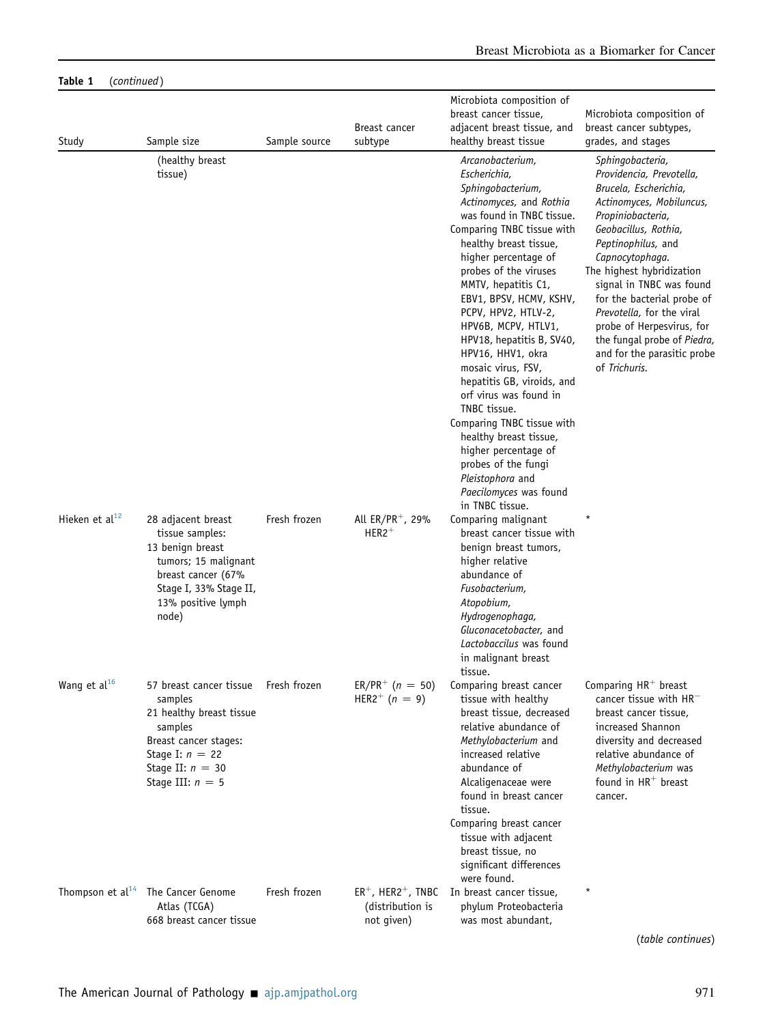|                            |                                                                                                                                                                     |               |                                                                     | Microbiota composition of                                                                                                                                                                                                                                                                                                                                                                                                                                                                                                                                                                                                                      |                                                                                                                                                                                                                                                                                                                                                                                                                         |
|----------------------------|---------------------------------------------------------------------------------------------------------------------------------------------------------------------|---------------|---------------------------------------------------------------------|------------------------------------------------------------------------------------------------------------------------------------------------------------------------------------------------------------------------------------------------------------------------------------------------------------------------------------------------------------------------------------------------------------------------------------------------------------------------------------------------------------------------------------------------------------------------------------------------------------------------------------------------|-------------------------------------------------------------------------------------------------------------------------------------------------------------------------------------------------------------------------------------------------------------------------------------------------------------------------------------------------------------------------------------------------------------------------|
| Study                      | Sample size                                                                                                                                                         | Sample source | Breast cancer<br>subtype                                            | breast cancer tissue,<br>adjacent breast tissue, and<br>healthy breast tissue                                                                                                                                                                                                                                                                                                                                                                                                                                                                                                                                                                  | Microbiota composition of<br>breast cancer subtypes,<br>grades, and stages                                                                                                                                                                                                                                                                                                                                              |
|                            | (healthy breast<br>tissue)                                                                                                                                          |               |                                                                     | Arcanobacterium,<br>Escherichia,<br>Sphingobacterium,<br>Actinomyces, and Rothia<br>was found in TNBC tissue.<br>Comparing TNBC tissue with<br>healthy breast tissue,<br>higher percentage of<br>probes of the viruses<br>MMTV, hepatitis C1,<br>EBV1, BPSV, HCMV, KSHV,<br>PCPV, HPV2, HTLV-2,<br>HPV6B, MCPV, HTLV1,<br>HPV18, hepatitis B, SV40,<br>HPV16, HHV1, okra<br>mosaic virus, FSV,<br>hepatitis GB, viroids, and<br>orf virus was found in<br>TNBC tissue.<br>Comparing TNBC tissue with<br>healthy breast tissue,<br>higher percentage of<br>probes of the fungi<br>Pleistophora and<br>Paecilomyces was found<br>in TNBC tissue. | Sphingobacteria,<br>Providencia, Prevotella,<br>Brucela, Escherichia,<br>Actinomyces, Mobiluncus,<br>Propiniobacteria,<br>Geobacillus, Rothia,<br>Peptinophilus, and<br>Capnocytophaga.<br>The highest hybridization<br>signal in TNBC was found<br>for the bacterial probe of<br>Prevotella, for the viral<br>probe of Herpesvirus, for<br>the fungal probe of Piedra,<br>and for the parasitic probe<br>of Trichuris. |
| Hieken et al <sup>12</sup> | 28 adjacent breast<br>tissue samples:<br>13 benign breast<br>tumors; 15 malignant<br>breast cancer (67%<br>Stage I, 33% Stage II,<br>13% positive lymph<br>node)    | Fresh frozen  | All $ER/PR^+$ , 29%<br>$HER2^+$                                     | Comparing malignant<br>breast cancer tissue with<br>benign breast tumors,<br>higher relative<br>abundance of<br>Fusobacterium,<br>Atopobium,<br>Hydrogenophaga,<br>Gluconacetobacter, and<br>Lactobaccilus was found<br>in malignant breast<br>tissue.                                                                                                                                                                                                                                                                                                                                                                                         |                                                                                                                                                                                                                                                                                                                                                                                                                         |
| Wang et al <sup>16</sup>   | 57 breast cancer tissue<br>samples<br>21 healthy breast tissue<br>samples<br>Breast cancer stages:<br>Stage I: $n = 22$<br>Stage II: $n = 30$<br>Stage III: $n = 5$ | Fresh frozen  | $ER/PR^{+}$ (n = 50)<br>HER2 <sup>+</sup> ( $n = 9$ )               | Comparing breast cancer<br>tissue with healthy<br>breast tissue, decreased<br>relative abundance of<br>Methylobacterium and<br>increased relative<br>abundance of<br>Alcaligenaceae were<br>found in breast cancer<br>tissue.<br>Comparing breast cancer<br>tissue with adjacent<br>breast tissue, no<br>significant differences<br>were found.                                                                                                                                                                                                                                                                                                | Comparing HR <sup>+</sup> breast<br>cancer tissue with $HR^-$<br>breast cancer tissue,<br>increased Shannon<br>diversity and decreased<br>relative abundance of<br>Methylobacterium was<br>found in $HR^+$ breast<br>cancer.                                                                                                                                                                                            |
|                            | Thompson et $al^{14}$ The Cancer Genome<br>Atlas (TCGA)<br>668 breast cancer tissue                                                                                 | Fresh frozen  | $ER^+$ , HER2 <sup>+</sup> , TNBC<br>(distribution is<br>not given) | In breast cancer tissue,<br>phylum Proteobacteria<br>was most abundant,                                                                                                                                                                                                                                                                                                                                                                                                                                                                                                                                                                        |                                                                                                                                                                                                                                                                                                                                                                                                                         |
|                            |                                                                                                                                                                     |               |                                                                     |                                                                                                                                                                                                                                                                                                                                                                                                                                                                                                                                                                                                                                                | (table continues)                                                                                                                                                                                                                                                                                                                                                                                                       |

## Table 1 (continued)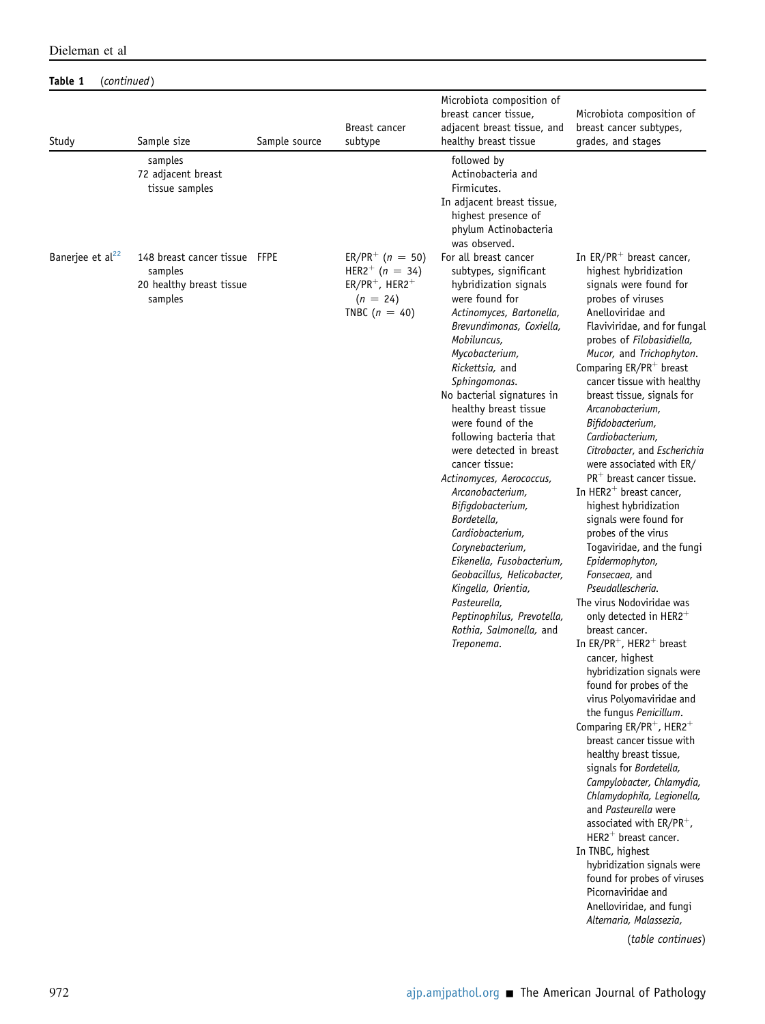| Dieleman et al |  |  |
|----------------|--|--|
|----------------|--|--|

## Table 1 (continued)

|                              |                                                                                  |               | Breast cancer                                                  | Microbiota composition of<br>breast cancer tissue,<br>adjacent breast tissue, and                                                                                                                                                                                                                                                                                                                                                                                                                                                                                                                                                                      | Microbiota composition of<br>breast cancer subtypes,                                                                                                                                                                                                                                                                                                                                                                                                                                                                                                                                                                                                                                                                                                                                                                                                                                                                                                                                                                                                                                                                                                                                                                                                                                                                                                                                          |
|------------------------------|----------------------------------------------------------------------------------|---------------|----------------------------------------------------------------|--------------------------------------------------------------------------------------------------------------------------------------------------------------------------------------------------------------------------------------------------------------------------------------------------------------------------------------------------------------------------------------------------------------------------------------------------------------------------------------------------------------------------------------------------------------------------------------------------------------------------------------------------------|-----------------------------------------------------------------------------------------------------------------------------------------------------------------------------------------------------------------------------------------------------------------------------------------------------------------------------------------------------------------------------------------------------------------------------------------------------------------------------------------------------------------------------------------------------------------------------------------------------------------------------------------------------------------------------------------------------------------------------------------------------------------------------------------------------------------------------------------------------------------------------------------------------------------------------------------------------------------------------------------------------------------------------------------------------------------------------------------------------------------------------------------------------------------------------------------------------------------------------------------------------------------------------------------------------------------------------------------------------------------------------------------------|
| Study                        | Sample size                                                                      | Sample source | subtype                                                        | healthy breast tissue                                                                                                                                                                                                                                                                                                                                                                                                                                                                                                                                                                                                                                  | grades, and stages                                                                                                                                                                                                                                                                                                                                                                                                                                                                                                                                                                                                                                                                                                                                                                                                                                                                                                                                                                                                                                                                                                                                                                                                                                                                                                                                                                            |
| Banerjee et al <sup>22</sup> | samples<br>72 adjacent breast<br>tissue samples<br>148 breast cancer tissue FFPE |               | $ER/PR^{+}$ (n = 50)<br>HER2 <sup>+</sup> ( $n = 34$ )         | followed by<br>Actinobacteria and<br>Firmicutes.<br>In adjacent breast tissue,<br>highest presence of<br>phylum Actinobacteria<br>was observed.<br>For all breast cancer                                                                                                                                                                                                                                                                                                                                                                                                                                                                               | In $ER/PR^+$ breast cancer,                                                                                                                                                                                                                                                                                                                                                                                                                                                                                                                                                                                                                                                                                                                                                                                                                                                                                                                                                                                                                                                                                                                                                                                                                                                                                                                                                                   |
|                              | samples<br>20 healthy breast tissue<br>samples                                   |               | $ER/PR^+$ , HER2 <sup>+</sup><br>$(n = 24)$<br>TNBC $(n = 40)$ | subtypes, significant<br>hybridization signals<br>were found for<br>Actinomyces, Bartonella,<br>Brevundimonas, Coxiella,<br>Mobiluncus,<br>Mycobacterium,<br>Rickettsia, and<br>Sphingomonas.<br>No bacterial signatures in<br>healthy breast tissue<br>were found of the<br>following bacteria that<br>were detected in breast<br>cancer tissue:<br>Actinomyces, Aerococcus,<br>Arcanobacterium,<br>Bifigdobacterium,<br>Bordetella,<br>Cardiobacterium,<br>Corynebacterium,<br>Eikenella, Fusobacterium,<br>Geobacillus, Helicobacter,<br>Kingella, Orientia,<br>Pasteurella,<br>Peptinophilus, Prevotella,<br>Rothia, Salmonella, and<br>Treponema. | highest hybridization<br>signals were found for<br>probes of viruses<br>Anelloviridae and<br>Flaviviridae, and for fungal<br>probes of Filobasidiella,<br>Mucor, and Trichophyton.<br>Comparing $ER/PR^+$ breast<br>cancer tissue with healthy<br>breast tissue, signals for<br>Arcanobacterium,<br>Bifidobacterium,<br>Cardiobacterium,<br>Citrobacter, and Escherichia<br>were associated with ER/<br>$PR+$ breast cancer tissue.<br>In HER2 <sup>+</sup> breast cancer,<br>highest hybridization<br>signals were found for<br>probes of the virus<br>Togaviridae, and the fungi<br>Epidermophyton,<br>Fonsecaea, and<br>Pseudallescheria.<br>The virus Nodoviridae was<br>only detected in HER2 <sup>+</sup><br>breast cancer.<br>In $ER/PR^+$ , HER2 <sup>+</sup> breast<br>cancer, highest<br>hybridization signals were<br>found for probes of the<br>virus Polyomaviridae and<br>the fungus Penicillum.<br>Comparing ER/PR <sup>+</sup> , HER2 <sup>+</sup><br>breast cancer tissue with<br>healthy breast tissue,<br>signals for Bordetella,<br>Campylobacter, Chlamydia,<br>Chlamydophila, Legionella,<br>and Pasteurella were<br>associated with ER/PR <sup>+</sup> ,<br>$HER2^+$ breast cancer.<br>In TNBC, highest<br>hybridization signals were<br>found for probes of viruses<br>Picornaviridae and<br>Anelloviridae, and fungi<br>Alternaria, Malassezia,<br>(table continues) |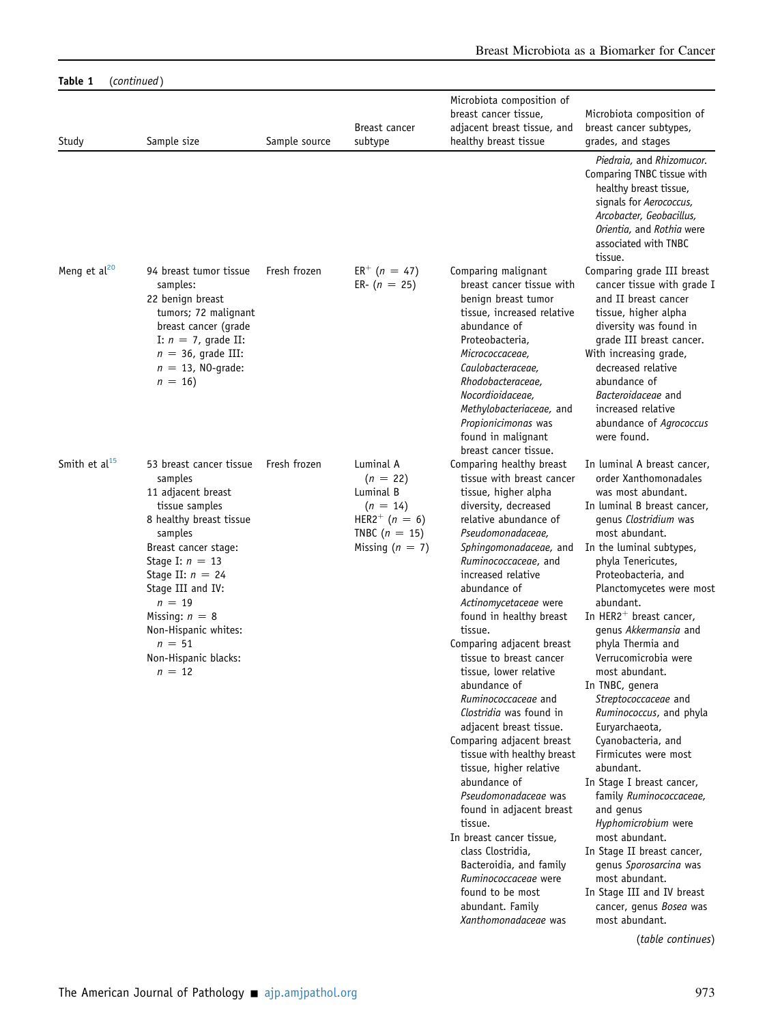| Table 1           | (continued)                                                                                                                                                                                                                                                                                                      |               |                                                                                                                             |                                                                                                                                                                                                                                                                                                                                                                                                                                                                                                                                                                                                                                                                                                                                                                                                                                    |                                                                                                                                                                                                                                                                                                                                                                                                                                                                                                                                                                                                                                                                                                                                                                                                                                                  |
|-------------------|------------------------------------------------------------------------------------------------------------------------------------------------------------------------------------------------------------------------------------------------------------------------------------------------------------------|---------------|-----------------------------------------------------------------------------------------------------------------------------|------------------------------------------------------------------------------------------------------------------------------------------------------------------------------------------------------------------------------------------------------------------------------------------------------------------------------------------------------------------------------------------------------------------------------------------------------------------------------------------------------------------------------------------------------------------------------------------------------------------------------------------------------------------------------------------------------------------------------------------------------------------------------------------------------------------------------------|--------------------------------------------------------------------------------------------------------------------------------------------------------------------------------------------------------------------------------------------------------------------------------------------------------------------------------------------------------------------------------------------------------------------------------------------------------------------------------------------------------------------------------------------------------------------------------------------------------------------------------------------------------------------------------------------------------------------------------------------------------------------------------------------------------------------------------------------------|
| Study             | Sample size                                                                                                                                                                                                                                                                                                      | Sample source | Breast cancer<br>subtype                                                                                                    | Microbiota composition of<br>breast cancer tissue,<br>adjacent breast tissue, and<br>healthy breast tissue                                                                                                                                                                                                                                                                                                                                                                                                                                                                                                                                                                                                                                                                                                                         | Microbiota composition of<br>breast cancer subtypes,<br>grades, and stages                                                                                                                                                                                                                                                                                                                                                                                                                                                                                                                                                                                                                                                                                                                                                                       |
|                   |                                                                                                                                                                                                                                                                                                                  |               |                                                                                                                             |                                                                                                                                                                                                                                                                                                                                                                                                                                                                                                                                                                                                                                                                                                                                                                                                                                    | Piedraia, and Rhizomucor.<br>Comparing TNBC tissue with<br>healthy breast tissue,<br>signals for Aerococcus,<br>Arcobacter, Geobacillus,<br>Orientia, and Rothia were<br>associated with TNBC<br>tissue.                                                                                                                                                                                                                                                                                                                                                                                                                                                                                                                                                                                                                                         |
| Meng et $al^{20}$ | 94 breast tumor tissue<br>samples:<br>22 benign breast<br>tumors; 72 malignant<br>breast cancer (grade<br>I: $n = 7$ , grade II:<br>$n = 36$ , grade III:<br>$n = 13$ , NO-grade:<br>$n = 16$                                                                                                                    | Fresh frozen  | $ER^+$ (n = 47)<br>ER- $(n = 25)$                                                                                           | Comparing malignant<br>breast cancer tissue with<br>benign breast tumor<br>tissue, increased relative<br>abundance of<br>Proteobacteria,<br>Micrococcaceae,<br>Caulobacteraceae,<br>Rhodobacteraceae,<br>Nocordioidaceae,<br>Methylobacteriaceae, and<br>Propionicimonas was<br>found in malignant<br>breast cancer tissue.                                                                                                                                                                                                                                                                                                                                                                                                                                                                                                        | Comparing grade III breast<br>cancer tissue with grade I<br>and II breast cancer<br>tissue, higher alpha<br>diversity was found in<br>grade III breast cancer.<br>With increasing grade,<br>decreased relative<br>abundance of<br>Bacteroidaceae and<br>increased relative<br>abundance of Agrococcus<br>were found.                                                                                                                                                                                                                                                                                                                                                                                                                                                                                                                             |
| Smith et $al15$   | 53 breast cancer tissue<br>samples<br>11 adjacent breast<br>tissue samples<br>8 healthy breast tissue<br>samples<br>Breast cancer stage:<br>Stage I: $n = 13$<br>Stage II: $n = 24$<br>Stage III and IV:<br>$n = 19$<br>Missing: $n = 8$<br>Non-Hispanic whites:<br>$n = 51$<br>Non-Hispanic blacks:<br>$n = 12$ | Fresh frozen  | Luminal A<br>$(n = 22)$<br>Luminal B<br>$(n = 14)$<br>HER2 <sup>+</sup> ( $n = 6$ )<br>TNBC $(n = 15)$<br>Missing $(n = 7)$ | Comparing healthy breast<br>tissue with breast cancer<br>tissue, higher alpha<br>diversity, decreased<br>relative abundance of<br>Pseudomonadaceae,<br>Sphingomonadaceae, and<br>Ruminococcaceae, and<br>increased relative<br>abundance of<br>Actinomycetaceae were<br>found in healthy breast<br>tissue.<br>Comparing adjacent breast<br>tissue to breast cancer<br>tissue, lower relative<br>abundance of<br>Ruminococcaceae and<br>Clostridia was found in<br>adjacent breast tissue.<br>Comparing adjacent breast<br>tissue with healthy breast<br>tissue, higher relative<br>abundance of<br>Pseudomonadaceae was<br>found in adjacent breast<br>tissue.<br>In breast cancer tissue,<br>class Clostridia,<br>Bacteroidia, and family<br>Ruminococcaceae were<br>found to be most<br>abundant. Family<br>Xanthomonadaceae was | In luminal A breast cancer,<br>order Xanthomonadales<br>was most abundant.<br>In luminal B breast cancer,<br>genus Clostridium was<br>most abundant.<br>In the luminal subtypes,<br>phyla Tenericutes,<br>Proteobacteria, and<br>Planctomycetes were most<br>abundant.<br>In HER2 <sup>+</sup> breast cancer,<br>genus Akkermansia and<br>phyla Thermia and<br>Verrucomicrobia were<br>most abundant.<br>In TNBC, genera<br>Streptococcaceae and<br>Ruminococcus, and phyla<br>Euryarchaeota,<br>Cyanobacteria, and<br>Firmicutes were most<br>abundant.<br>In Stage I breast cancer,<br>family Ruminococcaceae,<br>and genus<br>Hyphomicrobium were<br>most abundant.<br>In Stage II breast cancer,<br>genus Sporosarcina was<br>most abundant.<br>In Stage III and IV breast<br>cancer, genus Bosea was<br>most abundant.<br>(table continues) |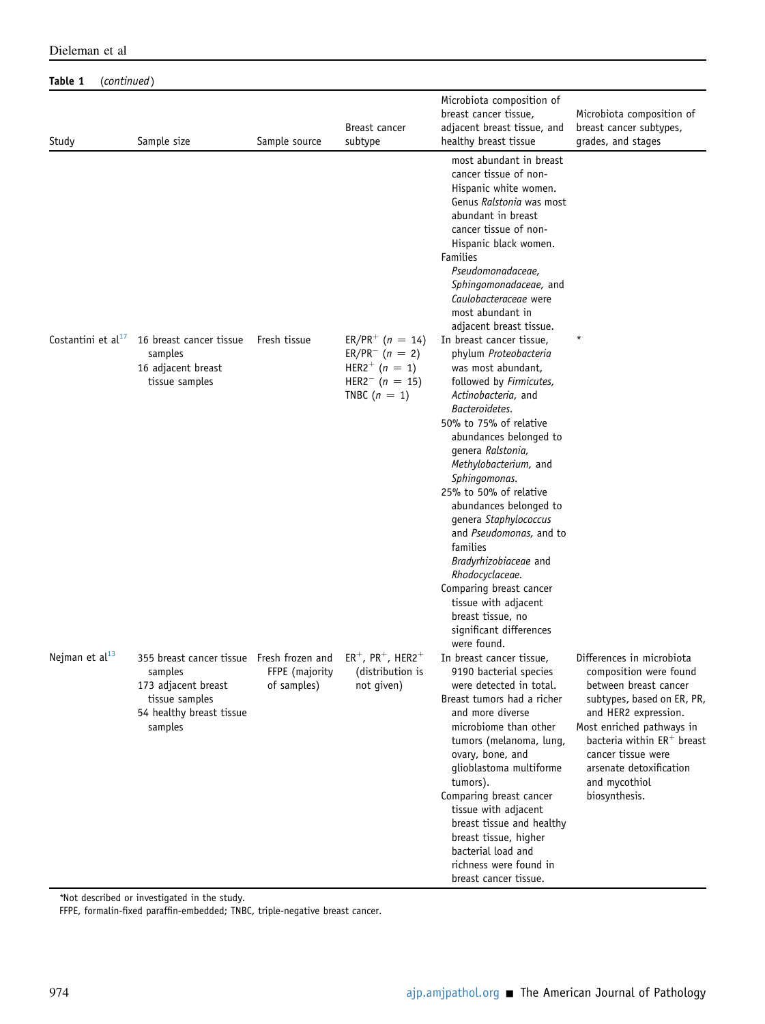|                      |                                                                                                                                                                          |               |                                                                                                                                  | Microbiota composition of                                                                                                                                                                                                                                                                                                                                                                                                        |                                                                                                                                                                                                                                                                                     |
|----------------------|--------------------------------------------------------------------------------------------------------------------------------------------------------------------------|---------------|----------------------------------------------------------------------------------------------------------------------------------|----------------------------------------------------------------------------------------------------------------------------------------------------------------------------------------------------------------------------------------------------------------------------------------------------------------------------------------------------------------------------------------------------------------------------------|-------------------------------------------------------------------------------------------------------------------------------------------------------------------------------------------------------------------------------------------------------------------------------------|
| Study                | Sample size                                                                                                                                                              | Sample source | Breast cancer<br>subtype                                                                                                         | breast cancer tissue,<br>adjacent breast tissue, and<br>healthy breast tissue                                                                                                                                                                                                                                                                                                                                                    | Microbiota composition of<br>breast cancer subtypes,<br>grades, and stages                                                                                                                                                                                                          |
|                      |                                                                                                                                                                          |               |                                                                                                                                  | most abundant in breast<br>cancer tissue of non-<br>Hispanic white women.<br>Genus Ralstonia was most<br>abundant in breast<br>cancer tissue of non-<br>Hispanic black women.<br><b>Families</b><br>Pseudomonadaceae.<br>Sphingomonadaceae, and<br>Caulobacteraceae were<br>most abundant in<br>adjacent breast tissue.                                                                                                          |                                                                                                                                                                                                                                                                                     |
| Costantini et $al17$ | 16 breast cancer tissue<br>samples<br>16 adjacent breast<br>tissue samples                                                                                               | Fresh tissue  | $ER/PR^{+}$ (n = 14)<br>$ER/PR^{-}$ (n = 2)<br>HER2 <sup>+</sup> ( $n = 1$ )<br>HER2 <sup>-</sup> ( $n = 15$ )<br>TNBC $(n = 1)$ | In breast cancer tissue,<br>phylum Proteobacteria<br>was most abundant,<br>followed by Firmicutes,<br>Actinobacteria, and<br>Bacteroidetes.<br>50% to 75% of relative<br>abundances belonged to<br>genera Ralstonia,<br>Methylobacterium, and<br>Sphingomonas.                                                                                                                                                                   |                                                                                                                                                                                                                                                                                     |
|                      |                                                                                                                                                                          |               |                                                                                                                                  | 25% to 50% of relative<br>abundances belonged to<br>genera Staphylococcus<br>and Pseudomonas, and to<br>families<br>Bradyrhizobiaceae and<br>Rhodocyclaceae.<br>Comparing breast cancer<br>tissue with adjacent<br>breast tissue, no<br>significant differences<br>were found.                                                                                                                                                   |                                                                                                                                                                                                                                                                                     |
| Nejman et $al13$     | 355 breast cancer tissue Fresh frozen and $ER^+$ , $PR^+$ , HER2 <sup>+</sup><br>samples<br>173 adjacent breast<br>tissue samples<br>54 healthy breast tissue<br>samples | of samples)   | FFPE (majority (distribution is<br>not given)                                                                                    | In breast cancer tissue,<br>9190 bacterial species<br>were detected in total.<br>Breast tumors had a richer<br>and more diverse<br>microbiome than other<br>tumors (melanoma, lung,<br>ovary, bone, and<br>glioblastoma multiforme<br>tumors).<br>Comparing breast cancer<br>tissue with adjacent<br>breast tissue and healthy<br>breast tissue, higher<br>bacterial load and<br>richness were found in<br>breast cancer tissue. | Differences in microbiota<br>composition were found<br>between breast cancer<br>subtypes, based on ER, PR,<br>and HER2 expression.<br>Most enriched pathways in<br>bacteria within $ER^+$ breast<br>cancer tissue were<br>arsenate detoxification<br>and mycothiol<br>biosynthesis. |

Dieleman et al

Table 1 (continued)

\*Not described or investigated in the study.

FFPE, formalin-fixed paraffin-embedded; TNBC, triple-negative breast cancer.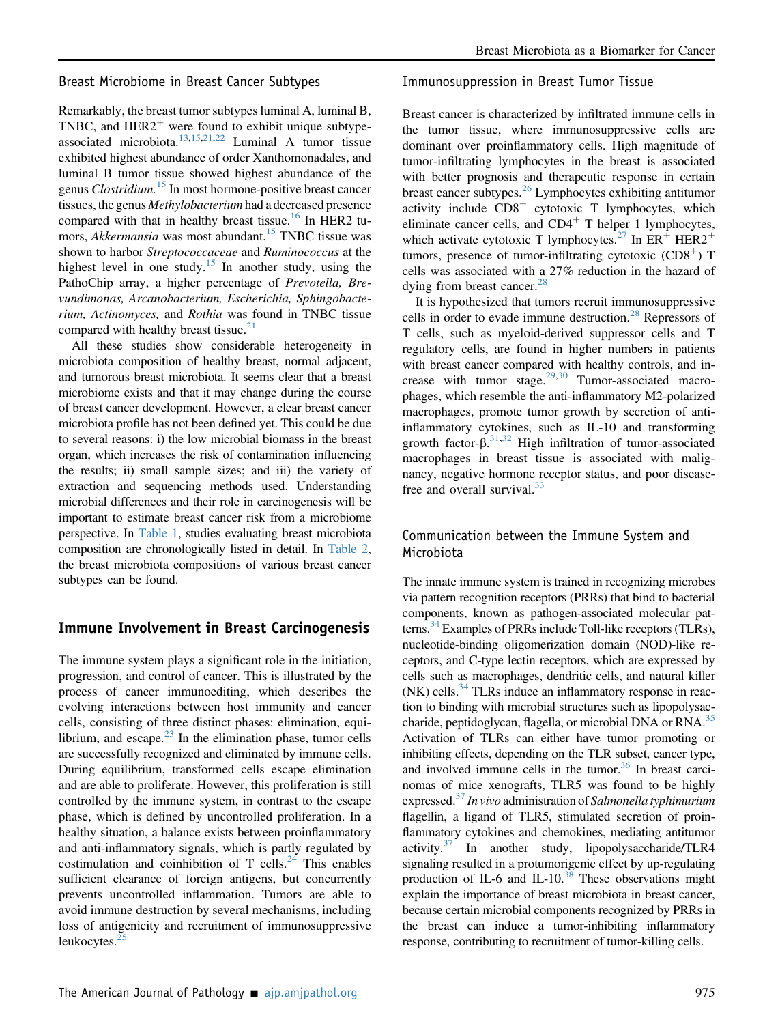Breast Microbiome in Breast Cancer Subtypes

Remarkably, the breast tumor subtypes luminal A, luminal B, TNBC, and  $HER2<sup>+</sup>$  were found to exhibit unique subtypeassociated microbiota. $13,15,21,22$  $13,15,21,22$  $13,15,21,22$  $13,15,21,22$  Luminal A tumor tissue exhibited highest abundance of order Xanthomonadales, and luminal B tumor tissue showed highest abundance of the genus *Clostridium*.<sup>[15](#page-12-13)</sup> In most hormone-positive breast cancer tissues, the genus Methylobacterium had a decreased presence compared with that in healthy breast tissue.<sup>[16](#page-12-14)</sup> In HER2 tu-mors, Akkermansia was most abundant.<sup>[15](#page-12-13)</sup> TNBC tissue was shown to harbor Streptococcaceae and Ruminococcus at the highest level in one study.<sup>[15](#page-12-13)</sup> In another study, using the PathoChip array, a higher percentage of *Prevotella*, *Bre*vundimonas, Arcanobacterium, Escherichia, Sphingobacterium, Actinomyces, and Rothia was found in TNBC tissue compared with healthy breast tissue. $21$ 

All these studies show considerable heterogeneity in microbiota composition of healthy breast, normal adjacent, and tumorous breast microbiota. It seems clear that a breast microbiome exists and that it may change during the course of breast cancer development. However, a clear breast cancer microbiota profile has not been defined yet. This could be due to several reasons: i) the low microbial biomass in the breast organ, which increases the risk of contamination influencing the results; ii) small sample sizes; and iii) the variety of extraction and sequencing methods used. Understanding microbial differences and their role in carcinogenesis will be important to estimate breast cancer risk from a microbiome perspective. In [Table 1](#page-2-0), studies evaluating breast microbiota composition are chronologically listed in detail. In [Table 2](#page-8-0), the breast microbiota compositions of various breast cancer subtypes can be found.

## Immune Involvement in Breast Carcinogenesis

The immune system plays a significant role in the initiation, progression, and control of cancer. This is illustrated by the process of cancer immunoediting, which describes the evolving interactions between host immunity and cancer cells, consisting of three distinct phases: elimination, equilibrium, and escape. $^{23}$  $^{23}$  $^{23}$  In the elimination phase, tumor cells are successfully recognized and eliminated by immune cells. During equilibrium, transformed cells escape elimination and are able to proliferate. However, this proliferation is still controlled by the immune system, in contrast to the escape phase, which is defined by uncontrolled proliferation. In a healthy situation, a balance exists between proinflammatory and anti-inflammatory signals, which is partly regulated by costimulation and coinhibition of T cells. $^{24}$  $^{24}$  $^{24}$  This enables sufficient clearance of foreign antigens, but concurrently prevents uncontrolled inflammation. Tumors are able to avoid immune destruction by several mechanisms, including loss of antigenicity and recruitment of immunosuppressive leukocytes. $<sup>2</sup>$ </sup>

#### Immunosuppression in Breast Tumor Tissue

Breast cancer is characterized by infiltrated immune cells in the tumor tissue, where immunosuppressive cells are dominant over proinflammatory cells. High magnitude of tumor-infiltrating lymphocytes in the breast is associated with better prognosis and therapeutic response in certain breast cancer subtypes.[26](#page-12-24) Lymphocytes exhibiting antitumor activity include  $CD8<sup>+</sup>$  cytotoxic T lymphocytes, which eliminate cancer cells, and  $CD4<sup>+</sup>$  T helper 1 lymphocytes, which activate cytotoxic T lymphocytes.<sup>[27](#page-13-0)</sup> In  $ER^+$  HER2<sup>+</sup> tumors, presence of tumor-infiltrating cytotoxic  $(CD8<sup>+</sup>)$  T cells was associated with a 27% reduction in the hazard of dying from breast cancer.<sup>[28](#page-13-1)</sup>

It is hypothesized that tumors recruit immunosuppressive cells in order to evade immune destruction.<sup>[28](#page-13-1)</sup> Repressors of T cells, such as myeloid-derived suppressor cells and T regulatory cells, are found in higher numbers in patients with breast cancer compared with healthy controls, and increase with tumor stage. $29,30$  $29,30$  Tumor-associated macrophages, which resemble the anti-inflammatory M2-polarized macrophages, promote tumor growth by secretion of antiinflammatory cytokines, such as IL-10 and transforming growth factor- $\beta$ .<sup>[31](#page-13-4),[32](#page-13-5)</sup> High infiltration of tumor-associated macrophages in breast tissue is associated with malignancy, negative hormone receptor status, and poor diseasefree and overall survival. $33$ 

## Communication between the Immune System and Microbiota

The innate immune system is trained in recognizing microbes via pattern recognition receptors (PRRs) that bind to bacterial components, known as pathogen-associated molecular patterns.<sup>34</sup> Examples of PRRs include Toll-like receptors (TLRs), nucleotide-binding oligomerization domain (NOD)-like receptors, and C-type lectin receptors, which are expressed by cells such as macrophages, dendritic cells, and natural killer  $(NK)$  cells.<sup>34</sup> TLRs induce an inflammatory response in reaction to binding with microbial structures such as lipopolysac-charide, peptidoglycan, flagella, or microbial DNA or RNA.<sup>[35](#page-13-8)</sup> Activation of TLRs can either have tumor promoting or inhibiting effects, depending on the TLR subset, cancer type, and involved immune cells in the tumor.<sup>[36](#page-13-9)</sup> In breast carcinomas of mice xenografts, TLR5 was found to be highly expressed. $37$  In vivo administration of Salmonella typhimurium flagellin, a ligand of TLR5, stimulated secretion of proinflammatory cytokines and chemokines, mediating antitumor activity.<sup>37</sup> In another study, lipopolysaccharide/TLR4 signaling resulted in a protumorigenic effect by up-regulating production of IL-6 and IL-10. $38$  These observations might explain the importance of breast microbiota in breast cancer, because certain microbial components recognized by PRRs in the breast can induce a tumor-inhibiting inflammatory response, contributing to recruitment of tumor-killing cells.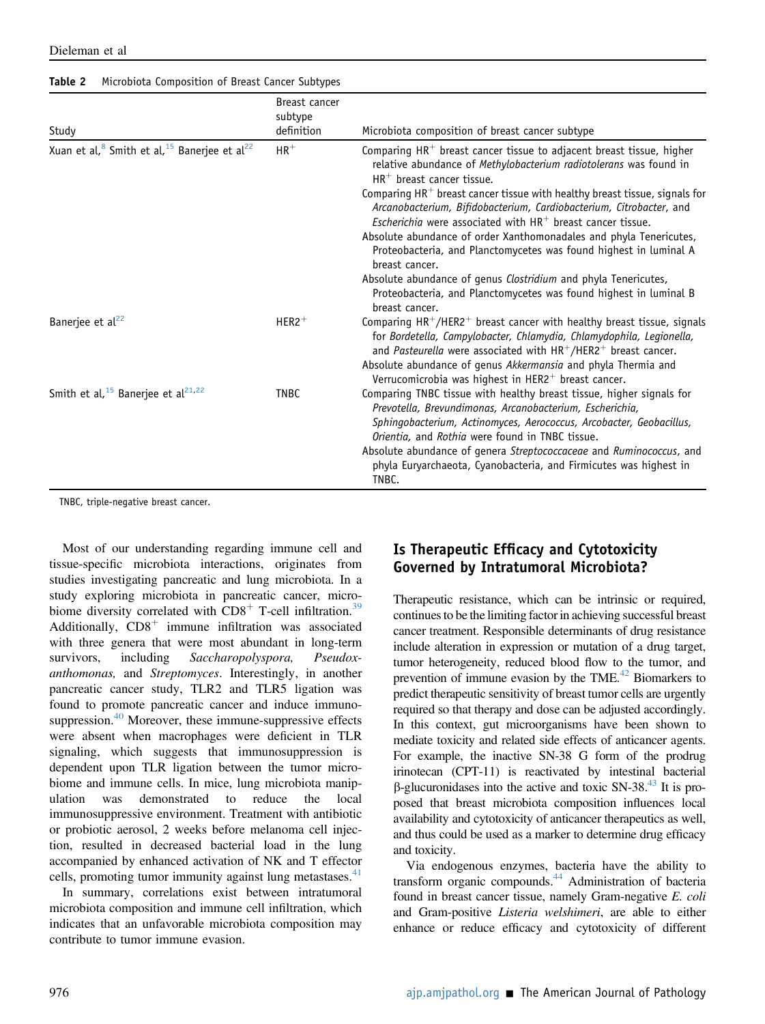| Study                                                                            | Breast cancer<br>subtype<br>definition | Microbiota composition of breast cancer subtype                                                                                                                                                                                                                                                                                                                                                                                                                                                                                                                                                                                                                                                                  |
|----------------------------------------------------------------------------------|----------------------------------------|------------------------------------------------------------------------------------------------------------------------------------------------------------------------------------------------------------------------------------------------------------------------------------------------------------------------------------------------------------------------------------------------------------------------------------------------------------------------------------------------------------------------------------------------------------------------------------------------------------------------------------------------------------------------------------------------------------------|
| Xuan et al, <sup>8</sup> Smith et al, <sup>15</sup> Banerjee et al <sup>22</sup> | $HR^+$                                 | Comparing $HR^+$ breast cancer tissue to adjacent breast tissue, higher<br>relative abundance of Methylobacterium radiotolerans was found in<br>$HR^+$ breast cancer tissue.<br>Comparing $HR^+$ breast cancer tissue with healthy breast tissue, signals for<br>Arcanobacterium, Bifidobacterium, Cardiobacterium, Citrobacter, and<br><i>Escherichia</i> were associated with $HR^+$ breast cancer tissue.<br>Absolute abundance of order Xanthomonadales and phyla Tenericutes,<br>Proteobacteria, and Planctomycetes was found highest in luminal A<br>breast cancer.<br>Absolute abundance of genus Clostridium and phyla Tenericutes,<br>Proteobacteria, and Planctomycetes was found highest in luminal B |
|                                                                                  |                                        | breast cancer.                                                                                                                                                                                                                                                                                                                                                                                                                                                                                                                                                                                                                                                                                                   |
| Banerjee et al <sup>22</sup>                                                     | $HER2$ <sup>+</sup>                    | Comparing $HR^{+}/HER2^{+}$ breast cancer with healthy breast tissue, signals<br>for Bordetella, Campylobacter, Chlamydia, Chlamydophila, Legionella,<br>and Pasteurella were associated with $HR^{+}/HER2^{+}$ breast cancer.<br>Absolute abundance of genus Akkermansia and phyla Thermia and<br>Verrucomicrobia was highest in HER2 <sup>+</sup> breast cancer.                                                                                                                                                                                                                                                                                                                                               |
| Smith et al, $15$ Banerjee et al <sup>21,22</sup>                                | <b>TNBC</b>                            | Comparing TNBC tissue with healthy breast tissue, higher signals for<br>Prevotella, Brevundimonas, Arcanobacterium, Escherichia,<br>Sphingobacterium, Actinomyces, Aerococcus, Arcobacter, Geobacillus,<br>Orientia, and Rothia were found in TNBC tissue.<br>Absolute abundance of genera Streptococcaceae and Ruminococcus, and<br>phyla Euryarchaeota, Cyanobacteria, and Firmicutes was highest in<br>TNBC.                                                                                                                                                                                                                                                                                                  |

<span id="page-8-0"></span>Table 2 Microbiota Composition of Breast Cancer Subtypes

Dieleman et al

TNBC, triple-negative breast cancer.

Most of our understanding regarding immune cell and tissue-specific microbiota interactions, originates from studies investigating pancreatic and lung microbiota. In a study exploring microbiota in pancreatic cancer, microbiome diversity correlated with  $CD8<sup>+</sup>$  T-cell infiltration.<sup>[39](#page-13-12)</sup> Additionally,  $CD8<sup>+</sup>$  immune infiltration was associated with three genera that were most abundant in long-term survivors, including Saccharopolyspora, Pseudoxanthomonas, and Streptomyces. Interestingly, in another pancreatic cancer study, TLR2 and TLR5 ligation was found to promote pancreatic cancer and induce immuno-suppression.<sup>[40](#page-13-13)</sup> Moreover, these immune-suppressive effects were absent when macrophages were deficient in TLR signaling, which suggests that immunosuppression is dependent upon TLR ligation between the tumor microbiome and immune cells. In mice, lung microbiota manipulation was demonstrated to reduce the local immunosuppressive environment. Treatment with antibiotic or probiotic aerosol, 2 weeks before melanoma cell injection, resulted in decreased bacterial load in the lung accompanied by enhanced activation of NK and T effector cells, promoting tumor immunity against lung metastases. $41$ 

In summary, correlations exist between intratumoral microbiota composition and immune cell infiltration, which indicates that an unfavorable microbiota composition may contribute to tumor immune evasion.

## Is Therapeutic Efficacy and Cytotoxicity Governed by Intratumoral Microbiota?

Therapeutic resistance, which can be intrinsic or required, continues to be the limiting factor in achieving successful breast cancer treatment. Responsible determinants of drug resistance include alteration in expression or mutation of a drug target, tumor heterogeneity, reduced blood flow to the tumor, and prevention of immune evasion by the  $\text{TME}^{42}$  Biomarkers to predict therapeutic sensitivity of breast tumor cells are urgently required so that therapy and dose can be adjusted accordingly. In this context, gut microorganisms have been shown to mediate toxicity and related side effects of anticancer agents. For example, the inactive SN-38 G form of the prodrug irinotecan (CPT-11) is reactivated by intestinal bacterial  $\beta$ -glucuronidases into the active and toxic SN-38.<sup>43</sup> It is proposed that breast microbiota composition influences local availability and cytotoxicity of anticancer therapeutics as well, and thus could be used as a marker to determine drug efficacy and toxicity.

Via endogenous enzymes, bacteria have the ability to transform organic compounds[.44](#page-13-17) Administration of bacteria found in breast cancer tissue, namely Gram-negative E. coli and Gram-positive Listeria welshimeri, are able to either enhance or reduce efficacy and cytotoxicity of different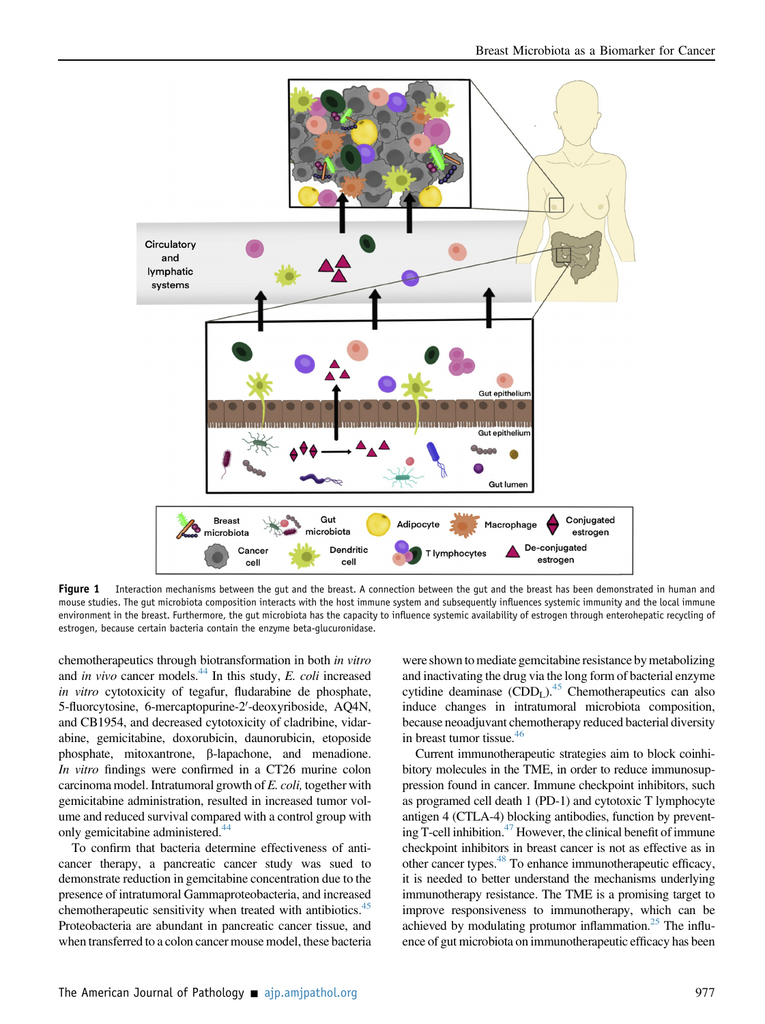<span id="page-9-0"></span>

Figure 1 Interaction mechanisms between the gut and the breast. A connection between the gut and the breast has been demonstrated in human and mouse studies. The gut microbiota composition interacts with the host immune system and subsequently influences systemic immunity and the local immune environment in the breast. Furthermore, the gut microbiota has the capacity to influence systemic availability of estrogen through enterohepatic recycling of estrogen, because certain bacteria contain the enzyme beta-glucuronidase.

chemotherapeutics through biotransformation in both in vitro and in vivo cancer models. $^{44}$  $^{44}$  $^{44}$  In this study, E. coli increased in vitro cytotoxicity of tegafur, fludarabine de phosphate, 5-fluorcytosine, 6-mercaptopurine-2'-deoxyriboside, AQ4N, and CB1954, and decreased cytotoxicity of cladribine, vidarabine, gemicitabine, doxorubicin, daunorubicin, etoposide phosphate, mitoxantrone,  $\beta$ -lapachone, and menadione. In vitro findings were confirmed in a CT26 murine colon carcinoma model. Intratumoral growth of E. coli, together with gemicitabine administration, resulted in increased tumor volume and reduced survival compared with a control group with only gemicitabine administered.<sup>[44](#page-13-17)</sup>

To confirm that bacteria determine effectiveness of anticancer therapy, a pancreatic cancer study was sued to demonstrate reduction in gemcitabine concentration due to the presence of intratumoral Gammaproteobacteria, and increased chemotherapeutic sensitivity when treated with antibiotics.<sup>[45](#page-13-18)</sup> Proteobacteria are abundant in pancreatic cancer tissue, and when transferred to a colon cancer mouse model, these bacteria

were shown to mediate gemcitabine resistance by metabolizing and inactivating the drug via the long form of bacterial enzyme cytidine deaminase  $(CDD<sub>L</sub>)<sup>45</sup>$  $(CDD<sub>L</sub>)<sup>45</sup>$  $(CDD<sub>L</sub>)<sup>45</sup>$  Chemotherapeutics can also induce changes in intratumoral microbiota composition, because neoadjuvant chemotherapy reduced bacterial diversity in breast tumor tissue.<sup>[46](#page-13-19)</sup>

Current immunotherapeutic strategies aim to block coinhibitory molecules in the TME, in order to reduce immunosuppression found in cancer. Immune checkpoint inhibitors, such as programed cell death 1 (PD-1) and cytotoxic T lymphocyte antigen 4 (CTLA-4) blocking antibodies, function by preventing T-cell inhibition. $47$  However, the clinical benefit of immune checkpoint inhibitors in breast cancer is not as effective as in other cancer types.<sup>48</sup> To enhance immunotherapeutic efficacy, it is needed to better understand the mechanisms underlying immunotherapy resistance. The TME is a promising target to improve responsiveness to immunotherapy, which can be achieved by modulating protumor inflammation.<sup>25</sup> The influence of gut microbiota on immunotherapeutic efficacy has been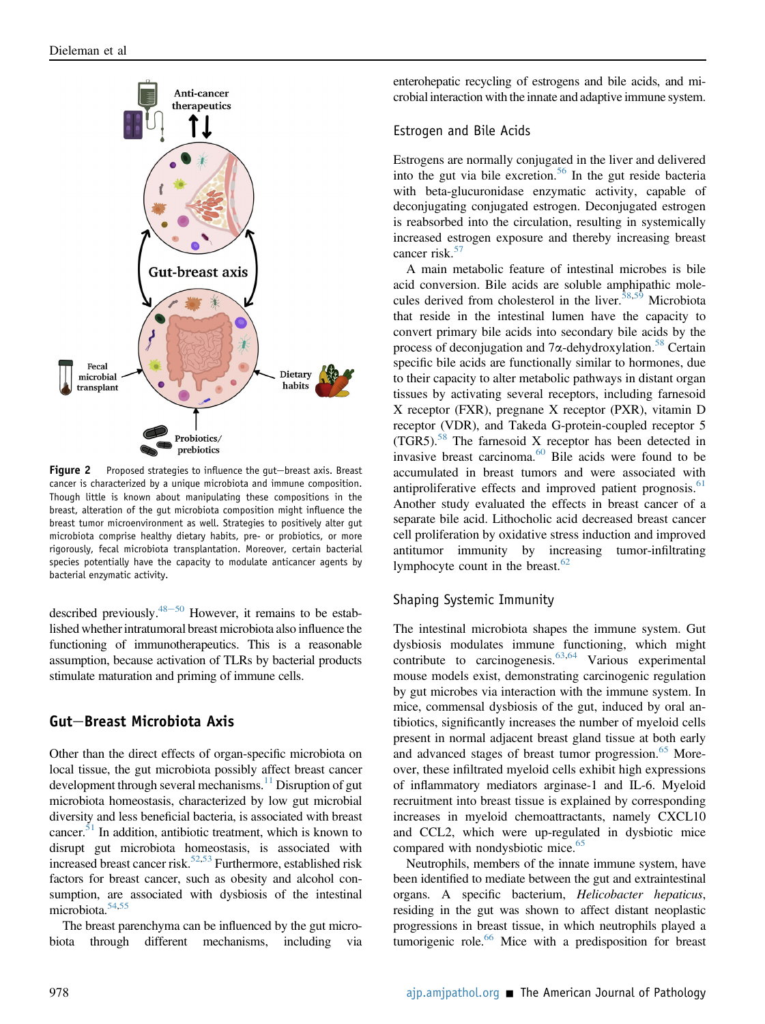<span id="page-10-0"></span>

Figure 2 Proposed strategies to influence the gut-breast axis. Breast cancer is characterized by a unique microbiota and immune composition. Though little is known about manipulating these compositions in the breast, alteration of the gut microbiota composition might influence the breast tumor microenvironment as well. Strategies to positively alter gut microbiota comprise healthy dietary habits, pre- or probiotics, or more rigorously, fecal microbiota transplantation. Moreover, certain bacterial species potentially have the capacity to modulate anticancer agents by bacterial enzymatic activity.

described previously.<sup>48–[50](#page-13-21)</sup> However, it remains to be established whether intratumoral breast microbiota also influence the functioning of immunotherapeutics. This is a reasonable assumption, because activation of TLRs by bacterial products stimulate maturation and priming of immune cells.

## Gut-Breast Microbiota Axis

Other than the direct effects of organ-specific microbiota on local tissue, the gut microbiota possibly affect breast cancer development through several mechanisms.<sup>[11](#page-12-8)</sup> Disruption of gut microbiota homeostasis, characterized by low gut microbial diversity and less beneficial bacteria, is associated with breast cancer. $51$  In addition, antibiotic treatment, which is known to disrupt gut microbiota homeostasis, is associated with increased breast cancer risk.<sup>[52](#page-13-23),[53](#page-13-24)</sup> Furthermore, established risk factors for breast cancer, such as obesity and alcohol consumption, are associated with dysbiosis of the intestinal microbiota. $54,55$  $54,55$ 

The breast parenchyma can be influenced by the gut microbiota through different mechanisms, including via enterohepatic recycling of estrogens and bile acids, and microbial interaction with the innate and adaptive immune system.

## Estrogen and Bile Acids

Estrogens are normally conjugated in the liver and delivered into the gut via bile excretion.<sup>[56](#page-13-27)</sup> In the gut reside bacteria with beta-glucuronidase enzymatic activity, capable of deconjugating conjugated estrogen. Deconjugated estrogen is reabsorbed into the circulation, resulting in systemically increased estrogen exposure and thereby increasing breast cancer risk.<sup>[57](#page-13-28)</sup>

A main metabolic feature of intestinal microbes is bile acid conversion. Bile acids are soluble amphipathic mole-cules derived from cholesterol in the liver.<sup>[58](#page-13-29),[59](#page-13-30)</sup> Microbiota that reside in the intestinal lumen have the capacity to convert primary bile acids into secondary bile acids by the process of deconjugation and  $7\alpha$ -dehydroxylation.<sup>[58](#page-13-29)</sup> Certain specific bile acids are functionally similar to hormones, due to their capacity to alter metabolic pathways in distant organ tissues by activating several receptors, including farnesoid X receptor (FXR), pregnane X receptor (PXR), vitamin D receptor (VDR), and Takeda G-protein-coupled receptor 5  $(TGR5).$ <sup>[58](#page-13-29)</sup> The farnesoid X receptor has been detected in invasive breast carcinoma.<sup>[60](#page-13-31)</sup> Bile acids were found to be accumulated in breast tumors and were associated with antiproliferative effects and improved patient prognosis. $61$ Another study evaluated the effects in breast cancer of a separate bile acid. Lithocholic acid decreased breast cancer cell proliferation by oxidative stress induction and improved antitumor immunity by increasing tumor-infiltrating lymphocyte count in the breast. $62$ 

## Shaping Systemic Immunity

The intestinal microbiota shapes the immune system. Gut dysbiosis modulates immune functioning, which might contribute to carcinogenesis.[63](#page-14-1)[,64](#page-14-2) Various experimental mouse models exist, demonstrating carcinogenic regulation by gut microbes via interaction with the immune system. In mice, commensal dysbiosis of the gut, induced by oral antibiotics, significantly increases the number of myeloid cells present in normal adjacent breast gland tissue at both early and advanced stages of breast tumor progression.<sup>[65](#page-14-3)</sup> Moreover, these infiltrated myeloid cells exhibit high expressions of inflammatory mediators arginase-1 and IL-6. Myeloid recruitment into breast tissue is explained by corresponding increases in myeloid chemoattractants, namely CXCL10 and CCL2, which were up-regulated in dysbiotic mice compared with nondysbiotic mice.<sup>[65](#page-14-3)</sup>

Neutrophils, members of the innate immune system, have been identified to mediate between the gut and extraintestinal organs. A specific bacterium, Helicobacter hepaticus, residing in the gut was shown to affect distant neoplastic progressions in breast tissue, in which neutrophils played a tumorigenic role.<sup>66</sup> Mice with a predisposition for breast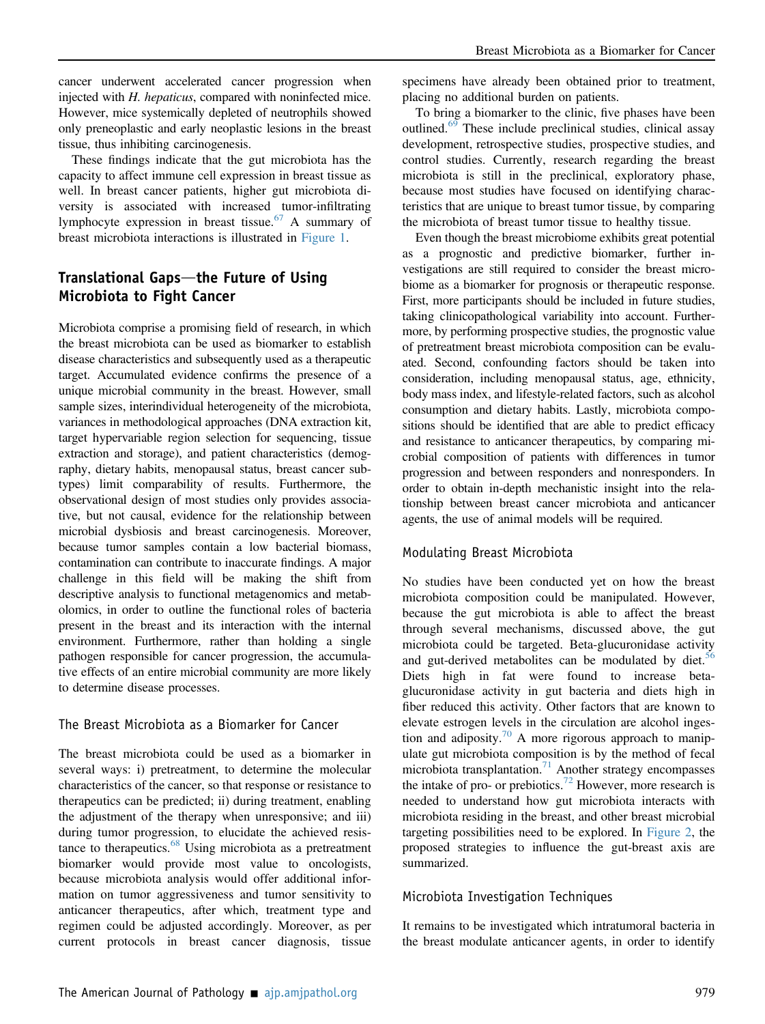cancer underwent accelerated cancer progression when injected with H. hepaticus, compared with noninfected mice. However, mice systemically depleted of neutrophils showed only preneoplastic and early neoplastic lesions in the breast tissue, thus inhibiting carcinogenesis.

These findings indicate that the gut microbiota has the capacity to affect immune cell expression in breast tissue as well. In breast cancer patients, higher gut microbiota diversity is associated with increased tumor-infiltrating lymphocyte expression in breast tissue.<sup>[67](#page-14-5)</sup> A summary of breast microbiota interactions is illustrated in [Figure 1.](#page-9-0)

## Translational Gaps—the Future of Using Microbiota to Fight Cancer

Microbiota comprise a promising field of research, in which the breast microbiota can be used as biomarker to establish disease characteristics and subsequently used as a therapeutic target. Accumulated evidence confirms the presence of a unique microbial community in the breast. However, small sample sizes, interindividual heterogeneity of the microbiota, variances in methodological approaches (DNA extraction kit, target hypervariable region selection for sequencing, tissue extraction and storage), and patient characteristics (demography, dietary habits, menopausal status, breast cancer subtypes) limit comparability of results. Furthermore, the observational design of most studies only provides associative, but not causal, evidence for the relationship between microbial dysbiosis and breast carcinogenesis. Moreover, because tumor samples contain a low bacterial biomass, contamination can contribute to inaccurate findings. A major challenge in this field will be making the shift from descriptive analysis to functional metagenomics and metabolomics, in order to outline the functional roles of bacteria present in the breast and its interaction with the internal environment. Furthermore, rather than holding a single pathogen responsible for cancer progression, the accumulative effects of an entire microbial community are more likely to determine disease processes.

#### The Breast Microbiota as a Biomarker for Cancer

The breast microbiota could be used as a biomarker in several ways: i) pretreatment, to determine the molecular characteristics of the cancer, so that response or resistance to therapeutics can be predicted; ii) during treatment, enabling the adjustment of the therapy when unresponsive; and iii) during tumor progression, to elucidate the achieved resis-tance to therapeutics.<sup>[68](#page-14-6)</sup> Using microbiota as a pretreatment biomarker would provide most value to oncologists, because microbiota analysis would offer additional information on tumor aggressiveness and tumor sensitivity to anticancer therapeutics, after which, treatment type and regimen could be adjusted accordingly. Moreover, as per current protocols in breast cancer diagnosis, tissue specimens have already been obtained prior to treatment, placing no additional burden on patients.

To bring a biomarker to the clinic, five phases have been outlined.<sup>[69](#page-14-7)</sup> These include preclinical studies, clinical assay development, retrospective studies, prospective studies, and control studies. Currently, research regarding the breast microbiota is still in the preclinical, exploratory phase, because most studies have focused on identifying characteristics that are unique to breast tumor tissue, by comparing the microbiota of breast tumor tissue to healthy tissue.

Even though the breast microbiome exhibits great potential as a prognostic and predictive biomarker, further investigations are still required to consider the breast microbiome as a biomarker for prognosis or therapeutic response. First, more participants should be included in future studies, taking clinicopathological variability into account. Furthermore, by performing prospective studies, the prognostic value of pretreatment breast microbiota composition can be evaluated. Second, confounding factors should be taken into consideration, including menopausal status, age, ethnicity, body mass index, and lifestyle-related factors, such as alcohol consumption and dietary habits. Lastly, microbiota compositions should be identified that are able to predict efficacy and resistance to anticancer therapeutics, by comparing microbial composition of patients with differences in tumor progression and between responders and nonresponders. In order to obtain in-depth mechanistic insight into the relationship between breast cancer microbiota and anticancer agents, the use of animal models will be required.

### Modulating Breast Microbiota

No studies have been conducted yet on how the breast microbiota composition could be manipulated. However, because the gut microbiota is able to affect the breast through several mechanisms, discussed above, the gut microbiota could be targeted. Beta-glucuronidase activity and gut-derived metabolites can be modulated by diet.<sup>[56](#page-13-27)</sup> Diets high in fat were found to increase betaglucuronidase activity in gut bacteria and diets high in fiber reduced this activity. Other factors that are known to elevate estrogen levels in the circulation are alcohol inges-tion and adiposity.<sup>[70](#page-14-8)</sup> A more rigorous approach to manipulate gut microbiota composition is by the method of fecal microbiota transplantation.<sup>[71](#page-14-9)</sup> Another strategy encompasses the intake of pro- or prebiotics.<sup>[72](#page-14-10)</sup> However, more research is needed to understand how gut microbiota interacts with microbiota residing in the breast, and other breast microbial targeting possibilities need to be explored. In [Figure 2](#page-10-0), the proposed strategies to influence the gut-breast axis are summarized.

### Microbiota Investigation Techniques

It remains to be investigated which intratumoral bacteria in the breast modulate anticancer agents, in order to identify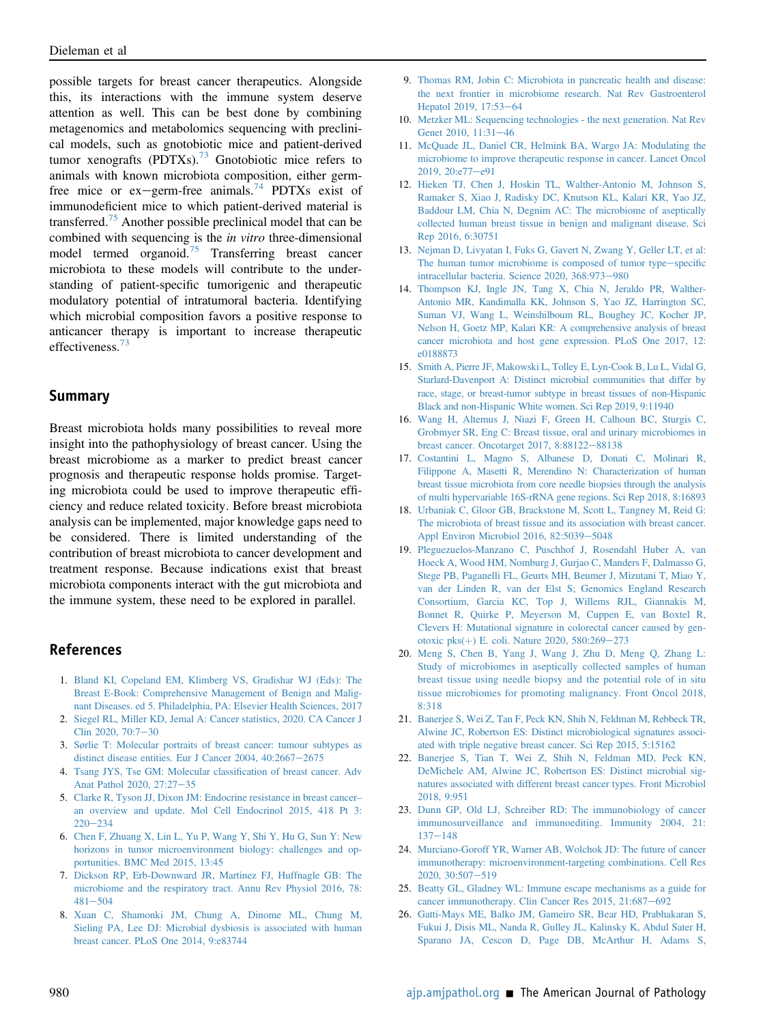possible targets for breast cancer therapeutics. Alongside this, its interactions with the immune system deserve attention as well. This can be best done by combining metagenomics and metabolomics sequencing with preclinical models, such as gnotobiotic mice and patient-derived tumor xenografts (PDTXs).<sup>73</sup> Gnotobiotic mice refers to animals with known microbiota composition, either germ-free mice or ex-germ-free animals.<sup>[74](#page-14-12)</sup> PDTXs exist of immunodeficient mice to which patient-derived material is transferred.[75](#page-14-13) Another possible preclinical model that can be combined with sequencing is the in vitro three-dimensional model termed organoid.[75](#page-14-13) Transferring breast cancer microbiota to these models will contribute to the understanding of patient-specific tumorigenic and therapeutic modulatory potential of intratumoral bacteria. Identifying which microbial composition favors a positive response to anticancer therapy is important to increase therapeutic effectiveness.<sup>[73](#page-14-11)</sup>

### Summary

Breast microbiota holds many possibilities to reveal more insight into the pathophysiology of breast cancer. Using the breast microbiome as a marker to predict breast cancer prognosis and therapeutic response holds promise. Targeting microbiota could be used to improve therapeutic efficiency and reduce related toxicity. Before breast microbiota analysis can be implemented, major knowledge gaps need to be considered. There is limited understanding of the contribution of breast microbiota to cancer development and treatment response. Because indications exist that breast microbiota components interact with the gut microbiota and the immune system, these need to be explored in parallel.

## <span id="page-12-0"></span>References

- <span id="page-12-1"></span>1. [Bland KI, Copeland EM, Klimberg VS, Gradishar WJ \(Eds\): The](http://refhub.elsevier.com/S0002-9440(21)00100-0/sref1) [Breast E-Book: Comprehensive Management of Benign and Malig](http://refhub.elsevier.com/S0002-9440(21)00100-0/sref1)[nant Diseases. ed 5. Philadelphia, PA: Elsevier Health Sciences, 2017](http://refhub.elsevier.com/S0002-9440(21)00100-0/sref1)
- <span id="page-12-2"></span>2. [Siegel RL, Miller KD, Jemal A: Cancer statistics, 2020. CA Cancer J](http://refhub.elsevier.com/S0002-9440(21)00100-0/sref2) Clin 2020,  $70:7-30$  $70:7-30$
- <span id="page-12-3"></span>3. [Sørlie T: Molecular portraits of breast cancer: tumour subtypes as](http://refhub.elsevier.com/S0002-9440(21)00100-0/sref3) [distinct disease entities. Eur J Cancer 2004, 40:2667](http://refhub.elsevier.com/S0002-9440(21)00100-0/sref3)-[2675](http://refhub.elsevier.com/S0002-9440(21)00100-0/sref3)
- <span id="page-12-4"></span>4. [Tsang JYS, Tse GM: Molecular classi](http://refhub.elsevier.com/S0002-9440(21)00100-0/sref4)fication of breast cancer. Adv [Anat Pathol 2020, 27:27](http://refhub.elsevier.com/S0002-9440(21)00100-0/sref4)-[35](http://refhub.elsevier.com/S0002-9440(21)00100-0/sref4)
- <span id="page-12-5"></span>5. [Clarke R, Tyson JJ, Dixon JM: Endocrine resistance in breast cancer](http://refhub.elsevier.com/S0002-9440(21)00100-0/sref5)– [an overview and update. Mol Cell Endocrinol 2015, 418 Pt 3:](http://refhub.elsevier.com/S0002-9440(21)00100-0/sref5)  $220 - 234$  $220 - 234$  $220 - 234$
- <span id="page-12-6"></span>6. [Chen F, Zhuang X, Lin L, Yu P, Wang Y, Shi Y, Hu G, Sun Y: New](http://refhub.elsevier.com/S0002-9440(21)00100-0/sref6) [horizons in tumor microenvironment biology: challenges and op](http://refhub.elsevier.com/S0002-9440(21)00100-0/sref6)[portunities. BMC Med 2015, 13:45](http://refhub.elsevier.com/S0002-9440(21)00100-0/sref6)
- <span id="page-12-9"></span>7. [Dickson RP, Erb-Downward JR, Martinez FJ, Huffnagle GB: The](http://refhub.elsevier.com/S0002-9440(21)00100-0/sref7) [microbiome and the respiratory tract. Annu Rev Physiol 2016, 78:](http://refhub.elsevier.com/S0002-9440(21)00100-0/sref7)  $481 - 504$  $481 - 504$  $481 - 504$
- 8. [Xuan C, Shamonki JM, Chung A, Dinome ML, Chung M,](http://refhub.elsevier.com/S0002-9440(21)00100-0/sref8) [Sieling PA, Lee DJ: Microbial dysbiosis is associated with human](http://refhub.elsevier.com/S0002-9440(21)00100-0/sref8) [breast cancer. PLoS One 2014, 9:e83744](http://refhub.elsevier.com/S0002-9440(21)00100-0/sref8)
- 9. [Thomas RM, Jobin C: Microbiota in pancreatic health and disease:](http://refhub.elsevier.com/S0002-9440(21)00100-0/sref9) [the next frontier in microbiome research. Nat Rev Gastroenterol](http://refhub.elsevier.com/S0002-9440(21)00100-0/sref9) [Hepatol 2019, 17:53](http://refhub.elsevier.com/S0002-9440(21)00100-0/sref9)-[64](http://refhub.elsevier.com/S0002-9440(21)00100-0/sref9)
- <span id="page-12-7"></span>10. [Metzker ML: Sequencing technologies - the next generation. Nat Rev](http://refhub.elsevier.com/S0002-9440(21)00100-0/sref10) [Genet 2010, 11:31](http://refhub.elsevier.com/S0002-9440(21)00100-0/sref10)-[46](http://refhub.elsevier.com/S0002-9440(21)00100-0/sref10)
- <span id="page-12-8"></span>11. [McQuade JL, Daniel CR, Helmink BA, Wargo JA: Modulating the](http://refhub.elsevier.com/S0002-9440(21)00100-0/sref11) [microbiome to improve therapeutic response in cancer. Lancet Oncol](http://refhub.elsevier.com/S0002-9440(21)00100-0/sref11)  $2019, 20: e77 - e91$  $2019, 20: e77 - e91$
- <span id="page-12-10"></span>12. [Hieken TJ, Chen J, Hoskin TL, Walther-Antonio M, Johnson S,](http://refhub.elsevier.com/S0002-9440(21)00100-0/sref12) [Ramaker S, Xiao J, Radisky DC, Knutson KL, Kalari KR, Yao JZ,](http://refhub.elsevier.com/S0002-9440(21)00100-0/sref12) [Baddour LM, Chia N, Degnim AC: The microbiome of aseptically](http://refhub.elsevier.com/S0002-9440(21)00100-0/sref12) [collected human breast tissue in benign and malignant disease. Sci](http://refhub.elsevier.com/S0002-9440(21)00100-0/sref12) [Rep 2016, 6:30751](http://refhub.elsevier.com/S0002-9440(21)00100-0/sref12)
- <span id="page-12-11"></span>13. [Nejman D, Livyatan I, Fuks G, Gavert N, Zwang Y, Geller LT, et al:](http://refhub.elsevier.com/S0002-9440(21)00100-0/sref13) [The human tumor microbiome is composed of tumor type](http://refhub.elsevier.com/S0002-9440(21)00100-0/sref13)-[speci](http://refhub.elsevier.com/S0002-9440(21)00100-0/sref13)fic [intracellular bacteria. Science 2020, 368:973](http://refhub.elsevier.com/S0002-9440(21)00100-0/sref13)-[980](http://refhub.elsevier.com/S0002-9440(21)00100-0/sref13)
- <span id="page-12-12"></span>14. [Thompson KJ, Ingle JN, Tang X, Chia N, Jeraldo PR, Walther-](http://refhub.elsevier.com/S0002-9440(21)00100-0/sref14)[Antonio MR, Kandimalla KK, Johnson S, Yao JZ, Harrington SC,](http://refhub.elsevier.com/S0002-9440(21)00100-0/sref14) [Suman VJ, Wang L, Weinshilboum RL, Boughey JC, Kocher JP,](http://refhub.elsevier.com/S0002-9440(21)00100-0/sref14) [Nelson H, Goetz MP, Kalari KR: A comprehensive analysis of breast](http://refhub.elsevier.com/S0002-9440(21)00100-0/sref14) [cancer microbiota and host gene expression. PLoS One 2017, 12:](http://refhub.elsevier.com/S0002-9440(21)00100-0/sref14) [e0188873](http://refhub.elsevier.com/S0002-9440(21)00100-0/sref14)
- <span id="page-12-13"></span>15. [Smith A, Pierre JF, Makowski L, Tolley E, Lyn-Cook B, Lu L, Vidal G,](http://refhub.elsevier.com/S0002-9440(21)00100-0/sref15) [Starlard-Davenport A: Distinct microbial communities that differ by](http://refhub.elsevier.com/S0002-9440(21)00100-0/sref15) [race, stage, or breast-tumor subtype in breast tissues of non-Hispanic](http://refhub.elsevier.com/S0002-9440(21)00100-0/sref15) [Black and non-Hispanic White women. Sci Rep 2019, 9:11940](http://refhub.elsevier.com/S0002-9440(21)00100-0/sref15)
- <span id="page-12-14"></span>16. [Wang H, Altemus J, Niazi F, Green H, Calhoun BC, Sturgis C,](http://refhub.elsevier.com/S0002-9440(21)00100-0/sref16) [Grobmyer SR, Eng C: Breast tissue, oral and urinary microbiomes in](http://refhub.elsevier.com/S0002-9440(21)00100-0/sref16) [breast cancer. Oncotarget 2017, 8:88122](http://refhub.elsevier.com/S0002-9440(21)00100-0/sref16)-[88138](http://refhub.elsevier.com/S0002-9440(21)00100-0/sref16)
- <span id="page-12-15"></span>17. [Costantini L, Magno S, Albanese D, Donati C, Molinari R,](http://refhub.elsevier.com/S0002-9440(21)00100-0/sref17) [Filippone A, Masetti R, Merendino N: Characterization of human](http://refhub.elsevier.com/S0002-9440(21)00100-0/sref17) [breast tissue microbiota from core needle biopsies through the analysis](http://refhub.elsevier.com/S0002-9440(21)00100-0/sref17) [of multi hypervariable 16S-rRNA gene regions. Sci Rep 2018, 8:16893](http://refhub.elsevier.com/S0002-9440(21)00100-0/sref17)
- <span id="page-12-16"></span>18. [Urbaniak C, Gloor GB, Brackstone M, Scott L, Tangney M, Reid G:](http://refhub.elsevier.com/S0002-9440(21)00100-0/sref18) [The microbiota of breast tissue and its association with breast cancer.](http://refhub.elsevier.com/S0002-9440(21)00100-0/sref18) [Appl Environ Microbiol 2016, 82:5039](http://refhub.elsevier.com/S0002-9440(21)00100-0/sref18)-[5048](http://refhub.elsevier.com/S0002-9440(21)00100-0/sref18)
- <span id="page-12-17"></span>19. [Pleguezuelos-Manzano C, Puschhof J, Rosendahl Huber A, van](http://refhub.elsevier.com/S0002-9440(21)00100-0/sref19) [Hoeck A, Wood HM, Nomburg J, Gurjao C, Manders F, Dalmasso G,](http://refhub.elsevier.com/S0002-9440(21)00100-0/sref19) [Stege PB, Paganelli FL, Geurts MH, Beumer J, Mizutani T, Miao Y,](http://refhub.elsevier.com/S0002-9440(21)00100-0/sref19) [van der Linden R, van der Elst S; Genomics England Research](http://refhub.elsevier.com/S0002-9440(21)00100-0/sref19) [Consortium, Garcia KC, Top J, Willems RJL, Giannakis M,](http://refhub.elsevier.com/S0002-9440(21)00100-0/sref19) [Bonnet R, Quirke P, Meyerson M, Cuppen E, van Boxtel R,](http://refhub.elsevier.com/S0002-9440(21)00100-0/sref19) [Clevers H: Mutational signature in colorectal cancer caused by gen](http://refhub.elsevier.com/S0002-9440(21)00100-0/sref19)otoxic pks $(+)$  E. coli. Nature 2020, 580:269-[273](http://refhub.elsevier.com/S0002-9440(21)00100-0/sref19)
- <span id="page-12-18"></span>20. [Meng S, Chen B, Yang J, Wang J, Zhu D, Meng Q, Zhang L:](http://refhub.elsevier.com/S0002-9440(21)00100-0/sref20) [Study of microbiomes in aseptically collected samples of human](http://refhub.elsevier.com/S0002-9440(21)00100-0/sref20) [breast tissue using needle biopsy and the potential role of in situ](http://refhub.elsevier.com/S0002-9440(21)00100-0/sref20) [tissue microbiomes for promoting malignancy. Front Oncol 2018,](http://refhub.elsevier.com/S0002-9440(21)00100-0/sref20) [8:318](http://refhub.elsevier.com/S0002-9440(21)00100-0/sref20)
- <span id="page-12-19"></span>21. [Banerjee S, Wei Z, Tan F, Peck KN, Shih N, Feldman M, Rebbeck TR,](http://refhub.elsevier.com/S0002-9440(21)00100-0/sref21) [Alwine JC, Robertson ES: Distinct microbiological signatures associ](http://refhub.elsevier.com/S0002-9440(21)00100-0/sref21)[ated with triple negative breast cancer. Sci Rep 2015, 5:15162](http://refhub.elsevier.com/S0002-9440(21)00100-0/sref21)
- <span id="page-12-20"></span>22. [Banerjee S, Tian T, Wei Z, Shih N, Feldman MD, Peck KN,](http://refhub.elsevier.com/S0002-9440(21)00100-0/sref22) [DeMichele AM, Alwine JC, Robertson ES: Distinct microbial sig](http://refhub.elsevier.com/S0002-9440(21)00100-0/sref22)[natures associated with different breast cancer types. Front Microbiol](http://refhub.elsevier.com/S0002-9440(21)00100-0/sref22) [2018, 9:951](http://refhub.elsevier.com/S0002-9440(21)00100-0/sref22)
- <span id="page-12-21"></span>23. [Dunn GP, Old LJ, Schreiber RD: The immunobiology of cancer](http://refhub.elsevier.com/S0002-9440(21)00100-0/sref23) [immunosurveillance and immunoediting. Immunity 2004, 21:](http://refhub.elsevier.com/S0002-9440(21)00100-0/sref23)  $137 - 148$  $137 - 148$  $137 - 148$
- <span id="page-12-22"></span>24. [Murciano-Goroff YR, Warner AB, Wolchok JD: The future of cancer](http://refhub.elsevier.com/S0002-9440(21)00100-0/sref24) [immunotherapy: microenvironment-targeting combinations. Cell Res](http://refhub.elsevier.com/S0002-9440(21)00100-0/sref24) [2020, 30:507](http://refhub.elsevier.com/S0002-9440(21)00100-0/sref24)-[519](http://refhub.elsevier.com/S0002-9440(21)00100-0/sref24)
- <span id="page-12-23"></span>25. [Beatty GL, Gladney WL: Immune escape mechanisms as a guide for](http://refhub.elsevier.com/S0002-9440(21)00100-0/sref25) cancer immunotherapy. Clin Cancer Res  $2015$ ,  $21:687-692$  $21:687-692$
- <span id="page-12-24"></span>26. [Gatti-Mays ME, Balko JM, Gameiro SR, Bear HD, Prabhakaran S,](http://refhub.elsevier.com/S0002-9440(21)00100-0/sref26) [Fukui J, Disis ML, Nanda R, Gulley JL, Kalinsky K, Abdul Sater H,](http://refhub.elsevier.com/S0002-9440(21)00100-0/sref26) [Sparano JA, Cescon D, Page DB, McArthur H, Adams S,](http://refhub.elsevier.com/S0002-9440(21)00100-0/sref26)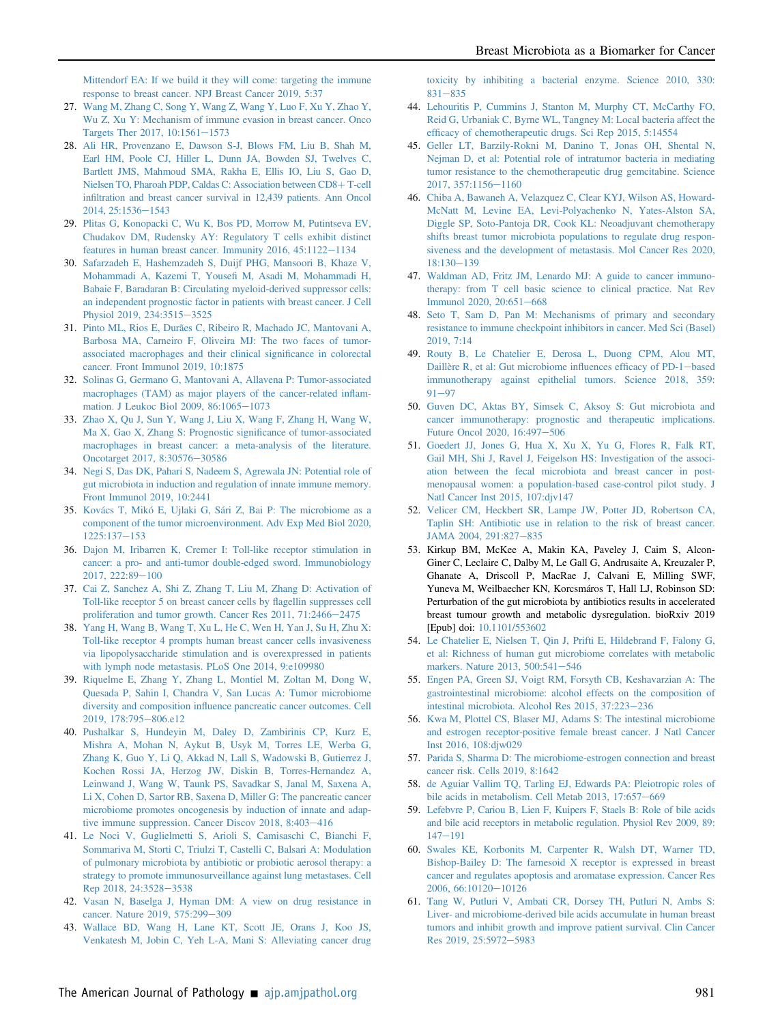[Mittendorf EA: If we build it they will come: targeting the immune](http://refhub.elsevier.com/S0002-9440(21)00100-0/sref26) [response to breast cancer. NPJ Breast Cancer 2019, 5:37](http://refhub.elsevier.com/S0002-9440(21)00100-0/sref26)

- <span id="page-13-0"></span>27. [Wang M, Zhang C, Song Y, Wang Z, Wang Y, Luo F, Xu Y, Zhao Y,](http://refhub.elsevier.com/S0002-9440(21)00100-0/sref27) [Wu Z, Xu Y: Mechanism of immune evasion in breast cancer. Onco](http://refhub.elsevier.com/S0002-9440(21)00100-0/sref27) Targets Ther 2017,  $10:1561-1573$  $10:1561-1573$
- <span id="page-13-1"></span>28. [Ali HR, Provenzano E, Dawson S-J, Blows FM, Liu B, Shah M,](http://refhub.elsevier.com/S0002-9440(21)00100-0/sref28) [Earl HM, Poole CJ, Hiller L, Dunn JA, Bowden SJ, Twelves C,](http://refhub.elsevier.com/S0002-9440(21)00100-0/sref28) [Bartlett JMS, Mahmoud SMA, Rakha E, Ellis IO, Liu S, Gao D,](http://refhub.elsevier.com/S0002-9440(21)00100-0/sref28) [Nielsen TO, Pharoah PDP, Caldas C: Association between CD8](http://refhub.elsevier.com/S0002-9440(21)00100-0/sref28)+[T-cell](http://refhub.elsevier.com/S0002-9440(21)00100-0/sref28) infi[ltration and breast cancer survival in 12,439 patients. Ann Oncol](http://refhub.elsevier.com/S0002-9440(21)00100-0/sref28) [2014, 25:1536](http://refhub.elsevier.com/S0002-9440(21)00100-0/sref28)-[1543](http://refhub.elsevier.com/S0002-9440(21)00100-0/sref28)
- <span id="page-13-2"></span>29. [Plitas G, Konopacki C, Wu K, Bos PD, Morrow M, Putintseva EV,](http://refhub.elsevier.com/S0002-9440(21)00100-0/sref29) [Chudakov DM, Rudensky AY: Regulatory T cells exhibit distinct](http://refhub.elsevier.com/S0002-9440(21)00100-0/sref29) features in human breast cancer. Immunity  $2016$ ,  $45:1122-1134$  $45:1122-1134$
- <span id="page-13-3"></span>30. [Safarzadeh E, Hashemzadeh S, Duijf PHG, Mansoori B, Khaze V,](http://refhub.elsevier.com/S0002-9440(21)00100-0/sref30) [Mohammadi A, Kazemi T, Youse](http://refhub.elsevier.com/S0002-9440(21)00100-0/sref30)fi M, Asadi M, Mohammadi H, [Babaie F, Baradaran B: Circulating myeloid-derived suppressor cells:](http://refhub.elsevier.com/S0002-9440(21)00100-0/sref30) [an independent prognostic factor in patients with breast cancer. J Cell](http://refhub.elsevier.com/S0002-9440(21)00100-0/sref30) [Physiol 2019, 234:3515](http://refhub.elsevier.com/S0002-9440(21)00100-0/sref30)-[3525](http://refhub.elsevier.com/S0002-9440(21)00100-0/sref30)
- <span id="page-13-4"></span>31. [Pinto ML, Rios E, Durães C, Ribeiro R, Machado JC, Mantovani A,](http://refhub.elsevier.com/S0002-9440(21)00100-0/sref31) [Barbosa MA, Carneiro F, Oliveira MJ: The two faces of tumor](http://refhub.elsevier.com/S0002-9440(21)00100-0/sref31)[associated macrophages and their clinical signi](http://refhub.elsevier.com/S0002-9440(21)00100-0/sref31)ficance in colorectal [cancer. Front Immunol 2019, 10:1875](http://refhub.elsevier.com/S0002-9440(21)00100-0/sref31)
- <span id="page-13-5"></span>32. [Solinas G, Germano G, Mantovani A, Allavena P: Tumor-associated](http://refhub.elsevier.com/S0002-9440(21)00100-0/sref32) [macrophages \(TAM\) as major players of the cancer-related in](http://refhub.elsevier.com/S0002-9440(21)00100-0/sref32)flam[mation. J Leukoc Biol 2009, 86:1065](http://refhub.elsevier.com/S0002-9440(21)00100-0/sref32)-[1073](http://refhub.elsevier.com/S0002-9440(21)00100-0/sref32)
- <span id="page-13-6"></span>33. [Zhao X, Qu J, Sun Y, Wang J, Liu X, Wang F, Zhang H, Wang W,](http://refhub.elsevier.com/S0002-9440(21)00100-0/sref33) [Ma X, Gao X, Zhang S: Prognostic signi](http://refhub.elsevier.com/S0002-9440(21)00100-0/sref33)ficance of tumor-associated [macrophages in breast cancer: a meta-analysis of the literature.](http://refhub.elsevier.com/S0002-9440(21)00100-0/sref33) [Oncotarget 2017, 8:30576](http://refhub.elsevier.com/S0002-9440(21)00100-0/sref33)-[30586](http://refhub.elsevier.com/S0002-9440(21)00100-0/sref33)
- <span id="page-13-7"></span>34. [Negi S, Das DK, Pahari S, Nadeem S, Agrewala JN: Potential role of](http://refhub.elsevier.com/S0002-9440(21)00100-0/sref34) [gut microbiota in induction and regulation of innate immune memory.](http://refhub.elsevier.com/S0002-9440(21)00100-0/sref34) [Front Immunol 2019, 10:2441](http://refhub.elsevier.com/S0002-9440(21)00100-0/sref34)
- <span id="page-13-8"></span>35. [Kovács T, Mikó E, Ujlaki G, Sári Z, Bai P: The microbiome as a](http://refhub.elsevier.com/S0002-9440(21)00100-0/sref35) [component of the tumor microenvironment. Adv Exp Med Biol 2020,](http://refhub.elsevier.com/S0002-9440(21)00100-0/sref35)  $1225:137 - 153$  $1225:137 - 153$  $1225:137 - 153$
- <span id="page-13-9"></span>36. [Dajon M, Iribarren K, Cremer I: Toll-like receptor stimulation in](http://refhub.elsevier.com/S0002-9440(21)00100-0/sref36) [cancer: a pro- and anti-tumor double-edged sword. Immunobiology](http://refhub.elsevier.com/S0002-9440(21)00100-0/sref36)  $2017, 222:89-100$  $2017, 222:89-100$  $2017, 222:89-100$
- <span id="page-13-10"></span>37. [Cai Z, Sanchez A, Shi Z, Zhang T, Liu M, Zhang D: Activation of](http://refhub.elsevier.com/S0002-9440(21)00100-0/sref37) [Toll-like receptor 5 on breast cancer cells by](http://refhub.elsevier.com/S0002-9440(21)00100-0/sref37) flagellin suppresses cell proliferation and tumor growth. Cancer Res  $2011$ ,  $71:2466-2475$  $71:2466-2475$
- <span id="page-13-11"></span>38. [Yang H, Wang B, Wang T, Xu L, He C, Wen H, Yan J, Su H, Zhu X:](http://refhub.elsevier.com/S0002-9440(21)00100-0/sref38) [Toll-like receptor 4 prompts human breast cancer cells invasiveness](http://refhub.elsevier.com/S0002-9440(21)00100-0/sref38) [via lipopolysaccharide stimulation and is overexpressed in patients](http://refhub.elsevier.com/S0002-9440(21)00100-0/sref38) [with lymph node metastasis. PLoS One 2014, 9:e109980](http://refhub.elsevier.com/S0002-9440(21)00100-0/sref38)
- <span id="page-13-12"></span>39. [Riquelme E, Zhang Y, Zhang L, Montiel M, Zoltan M, Dong W,](http://refhub.elsevier.com/S0002-9440(21)00100-0/sref39) [Quesada P, Sahin I, Chandra V, San Lucas A: Tumor microbiome](http://refhub.elsevier.com/S0002-9440(21)00100-0/sref39) diversity and composition infl[uence pancreatic cancer outcomes. Cell](http://refhub.elsevier.com/S0002-9440(21)00100-0/sref39) [2019, 178:795](http://refhub.elsevier.com/S0002-9440(21)00100-0/sref39)-[806.e12](http://refhub.elsevier.com/S0002-9440(21)00100-0/sref39)
- <span id="page-13-13"></span>40. [Pushalkar S, Hundeyin M, Daley D, Zambirinis CP, Kurz E,](http://refhub.elsevier.com/S0002-9440(21)00100-0/sref40) [Mishra A, Mohan N, Aykut B, Usyk M, Torres LE, Werba G,](http://refhub.elsevier.com/S0002-9440(21)00100-0/sref40) [Zhang K, Guo Y, Li Q, Akkad N, Lall S, Wadowski B, Gutierrez J,](http://refhub.elsevier.com/S0002-9440(21)00100-0/sref40) [Kochen Rossi JA, Herzog JW, Diskin B, Torres-Hernandez A,](http://refhub.elsevier.com/S0002-9440(21)00100-0/sref40) [Leinwand J, Wang W, Taunk PS, Savadkar S, Janal M, Saxena A,](http://refhub.elsevier.com/S0002-9440(21)00100-0/sref40) [Li X, Cohen D, Sartor RB, Saxena D, Miller G: The pancreatic cancer](http://refhub.elsevier.com/S0002-9440(21)00100-0/sref40) [microbiome promotes oncogenesis by induction of innate and adap](http://refhub.elsevier.com/S0002-9440(21)00100-0/sref40)tive immune suppression. Cancer Discov  $2018$ ,  $8:403-416$  $8:403-416$
- <span id="page-13-14"></span>41. [Le Noci V, Guglielmetti S, Arioli S, Camisaschi C, Bianchi F,](http://refhub.elsevier.com/S0002-9440(21)00100-0/sref41) [Sommariva M, Storti C, Triulzi T, Castelli C, Balsari A: Modulation](http://refhub.elsevier.com/S0002-9440(21)00100-0/sref41) [of pulmonary microbiota by antibiotic or probiotic aerosol therapy: a](http://refhub.elsevier.com/S0002-9440(21)00100-0/sref41) [strategy to promote immunosurveillance against lung metastases. Cell](http://refhub.elsevier.com/S0002-9440(21)00100-0/sref41) [Rep 2018, 24:3528](http://refhub.elsevier.com/S0002-9440(21)00100-0/sref41)-[3538](http://refhub.elsevier.com/S0002-9440(21)00100-0/sref41)
- <span id="page-13-15"></span>42. [Vasan N, Baselga J, Hyman DM: A view on drug resistance in](http://refhub.elsevier.com/S0002-9440(21)00100-0/sref42) [cancer. Nature 2019, 575:299](http://refhub.elsevier.com/S0002-9440(21)00100-0/sref42)-[309](http://refhub.elsevier.com/S0002-9440(21)00100-0/sref42)
- <span id="page-13-16"></span>43. [Wallace BD, Wang H, Lane KT, Scott JE, Orans J, Koo JS,](http://refhub.elsevier.com/S0002-9440(21)00100-0/sref43) [Venkatesh M, Jobin C, Yeh L-A, Mani S: Alleviating cancer drug](http://refhub.elsevier.com/S0002-9440(21)00100-0/sref43)

[toxicity by inhibiting a bacterial enzyme. Science 2010, 330:](http://refhub.elsevier.com/S0002-9440(21)00100-0/sref43)  $831 - 835$  $831 - 835$  $831 - 835$ 

- <span id="page-13-17"></span>44. [Lehouritis P, Cummins J, Stanton M, Murphy CT, McCarthy FO,](http://refhub.elsevier.com/S0002-9440(21)00100-0/sref44) [Reid G, Urbaniak C, Byrne WL, Tangney M: Local bacteria affect the](http://refhub.elsevier.com/S0002-9440(21)00100-0/sref44) effi[cacy of chemotherapeutic drugs. Sci Rep 2015, 5:14554](http://refhub.elsevier.com/S0002-9440(21)00100-0/sref44)
- <span id="page-13-18"></span>45. [Geller LT, Barzily-Rokni M, Danino T, Jonas OH, Shental N,](http://refhub.elsevier.com/S0002-9440(21)00100-0/sref45) [Nejman D, et al: Potential role of intratumor bacteria in mediating](http://refhub.elsevier.com/S0002-9440(21)00100-0/sref45) [tumor resistance to the chemotherapeutic drug gemcitabine. Science](http://refhub.elsevier.com/S0002-9440(21)00100-0/sref45) [2017, 357:1156](http://refhub.elsevier.com/S0002-9440(21)00100-0/sref45)-[1160](http://refhub.elsevier.com/S0002-9440(21)00100-0/sref45)
- <span id="page-13-19"></span>46. [Chiba A, Bawaneh A, Velazquez C, Clear KYJ, Wilson AS, Howard-](http://refhub.elsevier.com/S0002-9440(21)00100-0/sref46)[McNatt M, Levine EA, Levi-Polyachenko N, Yates-Alston SA,](http://refhub.elsevier.com/S0002-9440(21)00100-0/sref46) [Diggle SP, Soto-Pantoja DR, Cook KL: Neoadjuvant chemotherapy](http://refhub.elsevier.com/S0002-9440(21)00100-0/sref46) [shifts breast tumor microbiota populations to regulate drug respon](http://refhub.elsevier.com/S0002-9440(21)00100-0/sref46)[siveness and the development of metastasis. Mol Cancer Res 2020,](http://refhub.elsevier.com/S0002-9440(21)00100-0/sref46) [18:130](http://refhub.elsevier.com/S0002-9440(21)00100-0/sref46)-[139](http://refhub.elsevier.com/S0002-9440(21)00100-0/sref46)
- <span id="page-13-20"></span>47. [Waldman AD, Fritz JM, Lenardo MJ: A guide to cancer immuno](http://refhub.elsevier.com/S0002-9440(21)00100-0/sref47)[therapy: from T cell basic science to clinical practice. Nat Rev](http://refhub.elsevier.com/S0002-9440(21)00100-0/sref47) [Immunol 2020, 20:651](http://refhub.elsevier.com/S0002-9440(21)00100-0/sref47)-[668](http://refhub.elsevier.com/S0002-9440(21)00100-0/sref47)
- <span id="page-13-21"></span>48. [Seto T, Sam D, Pan M: Mechanisms of primary and secondary](http://refhub.elsevier.com/S0002-9440(21)00100-0/sref48) [resistance to immune checkpoint inhibitors in cancer. Med Sci \(Basel\)](http://refhub.elsevier.com/S0002-9440(21)00100-0/sref48) [2019, 7:14](http://refhub.elsevier.com/S0002-9440(21)00100-0/sref48)
- 49. [Routy B, Le Chatelier E, Derosa L, Duong CPM, Alou MT,](http://refhub.elsevier.com/S0002-9440(21)00100-0/sref49) [Daillère R, et al: Gut microbiome in](http://refhub.elsevier.com/S0002-9440(21)00100-0/sref49)fluences efficacy of PD-1-[based](http://refhub.elsevier.com/S0002-9440(21)00100-0/sref49) [immunotherapy against epithelial tumors. Science 2018, 359:](http://refhub.elsevier.com/S0002-9440(21)00100-0/sref49)  $91 - 97$  $91 - 97$  $91 - 97$
- 50. [Guven DC, Aktas BY, Simsek C, Aksoy S: Gut microbiota and](http://refhub.elsevier.com/S0002-9440(21)00100-0/sref50) [cancer immunotherapy: prognostic and therapeutic implications.](http://refhub.elsevier.com/S0002-9440(21)00100-0/sref50) [Future Oncol 2020, 16:497](http://refhub.elsevier.com/S0002-9440(21)00100-0/sref50)-[506](http://refhub.elsevier.com/S0002-9440(21)00100-0/sref50)
- <span id="page-13-22"></span>51. [Goedert JJ, Jones G, Hua X, Xu X, Yu G, Flores R, Falk RT,](http://refhub.elsevier.com/S0002-9440(21)00100-0/sref51) [Gail MH, Shi J, Ravel J, Feigelson HS: Investigation of the associ](http://refhub.elsevier.com/S0002-9440(21)00100-0/sref51)[ation between the fecal microbiota and breast cancer in post](http://refhub.elsevier.com/S0002-9440(21)00100-0/sref51)[menopausal women: a population-based case-control pilot study. J](http://refhub.elsevier.com/S0002-9440(21)00100-0/sref51) [Natl Cancer Inst 2015, 107:djv147](http://refhub.elsevier.com/S0002-9440(21)00100-0/sref51)
- <span id="page-13-23"></span>52. [Velicer CM, Heckbert SR, Lampe JW, Potter JD, Robertson CA,](http://refhub.elsevier.com/S0002-9440(21)00100-0/sref52) [Taplin SH: Antibiotic use in relation to the risk of breast cancer.](http://refhub.elsevier.com/S0002-9440(21)00100-0/sref52) [JAMA 2004, 291:827](http://refhub.elsevier.com/S0002-9440(21)00100-0/sref52)-[835](http://refhub.elsevier.com/S0002-9440(21)00100-0/sref52)
- <span id="page-13-24"></span>53. Kirkup BM, McKee A, Makin KA, Paveley J, Caim S, Alcon-Giner C, Leclaire C, Dalby M, Le Gall G, Andrusaite A, Kreuzaler P, Ghanate A, Driscoll P, MacRae J, Calvani E, Milling SWF, Yuneva M, Weilbaecher KN, Korcsmáros T, Hall LJ, Robinson SD: Perturbation of the gut microbiota by antibiotics results in accelerated breast tumour growth and metabolic dysregulation. bioRxiv 2019 [Epub] doi: [10.1101/553602](http://10.1101/553602)
- <span id="page-13-25"></span>54. [Le Chatelier E, Nielsen T, Qin J, Prifti E, Hildebrand F, Falony G,](http://refhub.elsevier.com/S0002-9440(21)00100-0/sref54) [et al: Richness of human gut microbiome correlates with metabolic](http://refhub.elsevier.com/S0002-9440(21)00100-0/sref54) [markers. Nature 2013, 500:541](http://refhub.elsevier.com/S0002-9440(21)00100-0/sref54)-[546](http://refhub.elsevier.com/S0002-9440(21)00100-0/sref54)
- <span id="page-13-26"></span>55. [Engen PA, Green SJ, Voigt RM, Forsyth CB, Keshavarzian A: The](http://refhub.elsevier.com/S0002-9440(21)00100-0/sref55) [gastrointestinal microbiome: alcohol effects on the composition of](http://refhub.elsevier.com/S0002-9440(21)00100-0/sref55) [intestinal microbiota. Alcohol Res 2015, 37:223](http://refhub.elsevier.com/S0002-9440(21)00100-0/sref55)-[236](http://refhub.elsevier.com/S0002-9440(21)00100-0/sref55)
- <span id="page-13-27"></span>56. [Kwa M, Plottel CS, Blaser MJ, Adams S: The intestinal microbiome](http://refhub.elsevier.com/S0002-9440(21)00100-0/sref56) [and estrogen receptor-positive female breast cancer. J Natl Cancer](http://refhub.elsevier.com/S0002-9440(21)00100-0/sref56) [Inst 2016, 108:djw029](http://refhub.elsevier.com/S0002-9440(21)00100-0/sref56)
- <span id="page-13-28"></span>57. [Parida S, Sharma D: The microbiome-estrogen connection and breast](http://refhub.elsevier.com/S0002-9440(21)00100-0/sref57) [cancer risk. Cells 2019, 8:1642](http://refhub.elsevier.com/S0002-9440(21)00100-0/sref57)
- <span id="page-13-29"></span>58. [de Aguiar Vallim TQ, Tarling EJ, Edwards PA: Pleiotropic roles of](http://refhub.elsevier.com/S0002-9440(21)00100-0/sref58) [bile acids in metabolism. Cell Metab 2013, 17:657](http://refhub.elsevier.com/S0002-9440(21)00100-0/sref58)-[669](http://refhub.elsevier.com/S0002-9440(21)00100-0/sref58)
- <span id="page-13-30"></span>59. [Lefebvre P, Cariou B, Lien F, Kuipers F, Staels B: Role of bile acids](http://refhub.elsevier.com/S0002-9440(21)00100-0/sref59) [and bile acid receptors in metabolic regulation. Physiol Rev 2009, 89:](http://refhub.elsevier.com/S0002-9440(21)00100-0/sref59)  $147 - 191$  $147 - 191$  $147 - 191$
- <span id="page-13-31"></span>60. [Swales KE, Korbonits M, Carpenter R, Walsh DT, Warner TD,](http://refhub.elsevier.com/S0002-9440(21)00100-0/sref60) [Bishop-Bailey D: The farnesoid X receptor is expressed in breast](http://refhub.elsevier.com/S0002-9440(21)00100-0/sref60) [cancer and regulates apoptosis and aromatase expression. Cancer Res](http://refhub.elsevier.com/S0002-9440(21)00100-0/sref60) [2006, 66:10120](http://refhub.elsevier.com/S0002-9440(21)00100-0/sref60)-[10126](http://refhub.elsevier.com/S0002-9440(21)00100-0/sref60)
- <span id="page-13-32"></span>61. [Tang W, Putluri V, Ambati CR, Dorsey TH, Putluri N, Ambs S:](http://refhub.elsevier.com/S0002-9440(21)00100-0/sref61) [Liver- and microbiome-derived bile acids accumulate in human breast](http://refhub.elsevier.com/S0002-9440(21)00100-0/sref61) [tumors and inhibit growth and improve patient survival. Clin Cancer](http://refhub.elsevier.com/S0002-9440(21)00100-0/sref61) [Res 2019, 25:5972](http://refhub.elsevier.com/S0002-9440(21)00100-0/sref61)-[5983](http://refhub.elsevier.com/S0002-9440(21)00100-0/sref61)